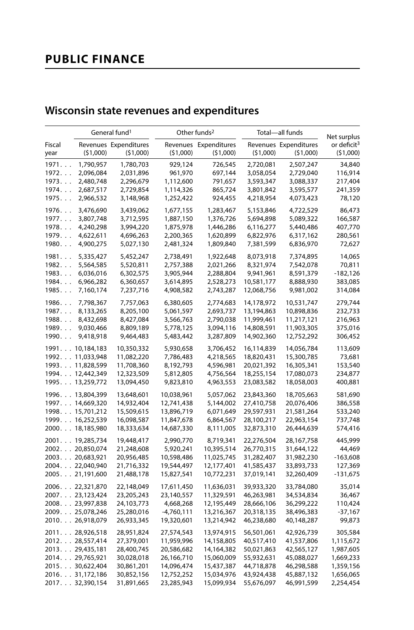# **PUBLIC FINANCE**

## **Wisconsin state revenues and expenditures**

|                |                  | General fund <sup>1</sup>         | Other funds <sup>2</sup> |                                   | Total-all funds | Net surplus                       |                                     |
|----------------|------------------|-----------------------------------|--------------------------|-----------------------------------|-----------------|-----------------------------------|-------------------------------------|
| Fiscal<br>year | (51,000)         | Revenues Expenditures<br>(51,000) | (51,000)                 | Revenues Expenditures<br>(51,000) | (\$1,000)       | Revenues Expenditures<br>(51,000) | or deficit <sup>3</sup><br>(51,000) |
| 1971           | 1,790,957        | 1,780,703                         | 929,124                  | 726,545                           | 2,720,081       | 2,507,247                         | 34,840                              |
| 1972           | 2,096,084        | 2,031,896                         | 961,970                  | 697,144                           | 3,058,054       | 2,729,040                         | 116,914                             |
| 1973           | 2,480,748        | 2,296,679                         | 1,112,600                | 791,657                           | 3,593,347       | 3,088,337                         | 217,404                             |
| 1974           | 2,687,517        | 2,729,854                         | 1,114,326                | 865,724                           | 3,801,842       | 3,595,577                         | 241,359                             |
| 1975           | 2,966,532        | 3,148,968                         | 1,252,422                | 924,455                           | 4,218,954       | 4,073,423                         | 78,120                              |
| 1976.          | 3,476,690        | 3,439,062                         | 1,677,155                | 1,283,467                         | 5,153,846       | 4,722,529                         | 86,473                              |
| 1977           | 3,807,748        | 3,712,595                         | 1,887,150                | 1,376,726                         | 5,694,898       | 5,089,322                         | 166,587                             |
| 1978           | 4,240,298        | 3,994,220                         | 1,875,978                | 1,446,286                         | 6,116,277       | 5,440,486                         | 407,770                             |
| 1979           | 4,622,611        | 4,696,263                         | 2,200,365                | 1,620,899                         | 6,822,976       | 6,317,162                         | 280,561                             |
| 1980           | 4,900,275        | 5,027,130                         | 2,481,324                | 1,809,840                         | 7,381,599       | 6,836,970                         | 72,627                              |
| 1981           | 5,335,427        | 5,452,247                         | 2,738,491                | 1,922,648                         | 8,073,918       | 7,374,895                         | 14,065                              |
| 1982           | 5,564,585        | 5,520,811                         | 2,757,388                | 2,021,266                         | 8,321,974       | 7,542,078                         | 70,811                              |
| 1983           | 6,036,016        | 6,302,575                         | 3,905,944                | 2,288,804                         | 9,941,961       | 8,591,379                         | $-182,126$                          |
| 1984           | 6,966,282        | 6,360,657                         | 3,614,895                | 2,528,273                         | 10,581,177      | 8,888,930                         | 383,085                             |
| 1985           | 7,160,174        | 7,237,716                         | 4,908,582                | 2,743,287                         | 12,068,756      | 9,981,002                         | 314,084                             |
| 1986           | 7,798,367        | 7,757,063                         | 6,380,605                | 2,774,683                         | 14,178,972      | 10,531,747                        | 279,744                             |
| 1987           | 8,133,265        | 8,205,100                         | 5,061,597                | 2,693,737                         | 13,194,863      | 10,898,836                        | 232,733                             |
| 1988           | 8,432,698        | 8,427,084                         | 3,566,763                | 2,790,038                         | 11,999,461      | 11,217,121                        | 216,963                             |
| 1989           | 9,030,466        | 8,809,189                         | 5,778,125                | 3,094,116                         | 14,808,591      | 11,903,305                        | 375,016                             |
| 1990           | 9,418,918        | 9,464,483                         | 5,483,442                | 3,287,809                         | 14,902,360      | 12,752,292                        | 306,452                             |
|                | 1991 10,184,183  | 10,350,332                        | 5,930,658                | 3,706,452                         | 16,114,839      | 14,056,784                        | 113,609                             |
|                | 1992. 11,033,948 | 11,082,220                        | 7,786,483                | 4,218,565                         | 18,820,431      | 15,300,785                        | 73,681                              |
|                | 199311,828,599   | 11,708,360                        | 8,192,793                | 4,596,981                         | 20,021,392      | 16,305,341                        | 153,540                             |
|                | 1994. 12,442,349 | 12,323,509                        | 5,812,805                | 4,756,564                         | 18,255,154      | 17,080,073                        | 234,877                             |
|                | 1995 13,259,772  | 13,094,450                        | 9,823,810                | 4,963,553                         | 23,083,582      | 18,058,003                        | 400,881                             |
|                | 1996. 13,804,399 | 13,648,601                        | 10,038,961               | 5,057,062                         | 23,843,360      | 18,705,663                        | 581,690                             |
|                | 1997. 14,669,320 | 14,932,404                        | 12,741,438               | 5,144,002                         | 27,410,758      | 20,076,406                        | 386,558                             |
|                | 199815,701,212   | 15,509,615                        | 13,896,719               | 6,071,649                         | 29,597,931      | 21,581,264                        | 533,240                             |
|                | 1999. 16,252,539 | 16,098,587                        | 11,847,678               | 6,864,567                         | 28,100,217      | 22,963,154                        | 737,748                             |
|                | 200018,185,980   | 18,333,634                        | 14,687,330               | 8,111,005                         | 32,873,310      | 26,444,639                        | 574,416                             |
|                | 200119,285,734   | 19,448,417                        | 2,990,770                | 8,719,341                         | 22,276,504      | 28,167,758                        | 445,999                             |
|                | 200220,850,074   | 21,248,608                        | 5,920,241                | 10,395,514                        | 26,770,315      | 31,644,122                        | 44,469                              |
|                | 200320,683,921   | 20,956,485                        | 10,598,486               | 11,025,745                        | 31,282,407      | 31,982,230                        | $-163,608$                          |
|                | 200422,040,940   | 21,716,332                        | 19,544,497               | 12,177,401                        | 41,585,437      | 33,893,733                        | 127,369                             |
|                | 200521,191,600   | 21,488,178                        | 15,827,541               | 10,772,231                        | 37,019,141      | 32,260,409                        | -131,675                            |
|                | 200622,321,870   | 22,148,049                        | 17,611,450               | 11,636,031                        | 39,933,320      | 33,784,080                        | 35,014                              |
|                | 2007 23,123,424  | 23,205,243                        | 23,140,557               | 11,329,591                        | 46,263,981      | 34,534,834                        | 36,467                              |
|                | 200823,997,838   | 24,103,773                        | 4,668,268                | 12,195,449                        | 28,666,106      | 36,299,222                        | 110,424                             |
|                | 200925,078,246   | 25,280,016                        | $-4,760,111$             | 13,216,367                        | 20,318,135      | 38,496,383                        | $-37,167$                           |
|                | 2010. 26,918,079 | 26,933,345                        | 19,320,601               | 13,214,942                        | 46,238,680      | 40,148,287                        | 99,873                              |
|                | 2011 28,926,518  | 28,951,824                        | 27,574,543               | 13,974,915                        | 56,501,061      | 42,926,739                        | 305,584                             |
|                | 201228,557,414   | 27,379,001                        | 11,959,996               | 14,158,805                        | 40,517,410      | 41,537,806                        | 1,115,672                           |
|                | 201329,435,181   | 28,400,745                        | 20,586,682               | 14,164,382                        | 50,021,863      | 42,565,127                        | 1,987,605                           |
|                | 2014. 29,765,921 | 30,028,018                        | 26,166,710               | 15,060,009                        | 55,932,631      | 45,088,027                        | 1,669,233                           |
|                | 201530,622,404   | 30,861,201                        | 14,096,474               | 15,437,387                        | 44,718,878      | 46,298,588                        | 1,359,156                           |
|                | 2016. 31,172,186 | 30,852,156                        | 12,752,252               | 15,034,976                        | 43,924,438      | 45,887,132                        | 1,656,065                           |
|                | 2017. 32,390,154 | 31,891,665                        | 23,285,943               | 15,099,934                        | 55,676,097      | 46,991,599                        | 2,254,454                           |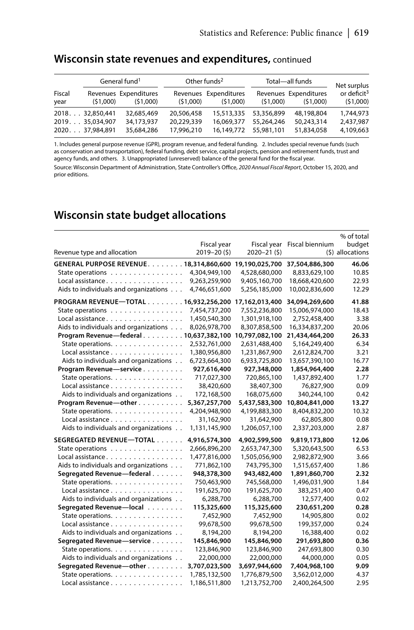|                | General fund <sup>1</sup> |                                   | Other funds <sup>2</sup> |                                   | Total-all funds       | Net surplus                       |                                     |
|----------------|---------------------------|-----------------------------------|--------------------------|-----------------------------------|-----------------------|-----------------------------------|-------------------------------------|
| Fiscal<br>year | (51,000)                  | Revenues Expenditures<br>(51,000) | (51.000)                 | Revenues Expenditures<br>(51.000) | (51,000)              | Revenues Expenditures<br>(51.000) | or deficit <sup>3</sup><br>(51,000) |
|                | 201832,850,441            | 32.685.469                        | 20,506,458               |                                   | 15,513,335 53,356,899 | 48,198,804                        | 1,744,973                           |
|                | 2019. 35.034.907          | 34,173,937                        | 20.229.339               | 16.069.377                        | 55.264.246            | 50,243,314                        | 2,437,987                           |
|                | 2020. 37,984,891          | 35,684,286                        | 17,996,210               |                                   | 16,149,772 55,981,101 | 51,834,058                        | 4,109,663                           |

#### **Wisconsin state revenues and expenditures,** continued

1. Includes general purpose revenue (GPR), program revenue, and federal funding. 2. Includes special revenue funds (such as conservation and transportation), federal funding, debt service, capital projects, pension and retirement funds, trust and agency funds, and others. 3. Unappropriated (unreserved) balance of the general fund for the fiscal year. Source: Wisconsin Department of Administration, State Controller's Office, *2020 Annual Fiscal Report*, October 15, 2020, and prior editions.

### **Wisconsin state budget allocations**

|                                                       |                |                |                 | % of total       |
|-------------------------------------------------------|----------------|----------------|-----------------|------------------|
|                                                       | Fiscal year    | Fiscal year    | Fiscal biennium | budget           |
| Revenue type and allocation                           | $2019 - 20(5)$ | $2020 - 21(5)$ |                 | (\$) allocations |
| GENERAL PURPOSE REVENUE. 18,314,860,600               |                | 19,190,025,700 | 37,504,886,300  | 46.06            |
| State operations                                      | 4,304,949,100  | 4,528,680,000  | 8,833,629,100   | 10.85            |
| Local assistance                                      | 9,263,259,900  | 9,405,160,700  | 18,668,420,600  | 22.93            |
| Aids to individuals and organizations                 | 4,746,651,600  | 5,256,185,000  | 10,002,836,600  | 12.29            |
| PROGRAM REVENUE-TOTAL 16,932,256,200 17,162,013,400   |                |                | 34,094,269,600  | 41.88            |
| State operations                                      | 7,454,737,200  | 7,552,236,800  | 15,006,974,000  | 18.43            |
| Local assistance                                      | 1,450,540,300  | 1,301,918,100  | 2,752,458,400   | 3.38             |
| Aids to individuals and organizations                 | 8,026,978,700  | 8,307,858,500  | 16,334,837,200  | 20.06            |
| Program Revenue-federal 10,637,382,100 10,797,082,100 |                |                | 21,434,464,200  | 26.33            |
| State operations.                                     | 2,532,761,000  | 2,631,488,400  | 5,164,249,400   | 6.34             |
| Local assistance                                      | 1,380,956,800  | 1,231,867,900  | 2,612,824,700   | 3.21             |
| Aids to individuals and organizations                 | 6,723,664,300  | 6,933,725,800  | 13,657,390,100  | 16.77            |
| Program Revenue-service                               | 927,616,400    | 927,348,000    | 1,854,964,400   | 2.28             |
| State operations.                                     | 717,027,300    | 720,865,100    | 1,437,892,400   | 1.77             |
| Local assistance                                      | 38,420,600     | 38,407,300     | 76,827,900      | 0.09             |
| Aids to individuals and organizations                 | 172,168,500    | 168,075,600    | 340,244,100     | 0.42             |
| Program Revenue-other                                 | 5,367,257,700  | 5,437,583,300  | 10,804,841,000  | 13.27            |
| State operations.                                     | 4,204,948,900  | 4,199,883,300  | 8,404,832,200   | 10.32            |
| Local assistance                                      | 31,162,900     | 31,642,900     | 62,805,800      | 0.08             |
| Aids to individuals and organizations                 | 1,131,145,900  | 1,206,057,100  | 2,337,203,000   | 2.87             |
| SEGREGATED REVENUE-TOTAL                              | 4,916,574,300  | 4,902,599,500  | 9,819,173,800   | 12.06            |
| State operations                                      | 2,666,896,200  | 2,653,747,300  | 5,320,643,500   | 6.53             |
| Local assistance                                      | 1,477,816,000  | 1,505,056,900  | 2,982,872,900   | 3.66             |
| Aids to individuals and organizations                 | 771,862,100    | 743,795,300    | 1,515,657,400   | 1.86             |
| Segregated Revenue-federal                            | 948,378,300    | 943,482,400    | 1,891,860,700   | 2.32             |
| State operations.                                     | 750,463,900    | 745,568,000    | 1,496,031,900   | 1.84             |
| Local assistance                                      | 191,625,700    | 191,625,700    | 383,251,400     | 0.47             |
| Aids to individuals and organizations                 | 6,288,700      | 6,288,700      | 12,577,400      | 0.02             |
| Segregated Revenue-local                              | 115,325,600    | 115,325,600    | 230,651,200     | 0.28             |
| State operations.                                     | 7,452,900      | 7,452,900      | 14,905,800      | 0.02             |
| Local assistance                                      | 99,678,500     | 99,678,500     | 199,357,000     | 0.24             |
| Aids to individuals and organizations                 | 8,194,200      | 8,194,200      | 16,388,400      | 0.02             |
| Segregated Revenue-service                            | 145,846,900    | 145,846,900    | 291,693,800     | 0.36             |
| State operations.                                     | 123,846,900    | 123,846,900    | 247,693,800     | 0.30             |
| Aids to individuals and organizations                 | 22,000,000     | 22,000,000     | 44,000,000      | 0.05             |
| Segregated Revenue-other                              | 3,707,023,500  | 3,697,944,600  | 7,404,968,100   | 9.09             |
| State operations.                                     | 1,785,132,500  | 1,776,879,500  | 3,562,012,000   | 4.37             |
| Local assistance                                      | 1,186,511,800  | 1,213,752,700  | 2,400,264,500   | 2.95             |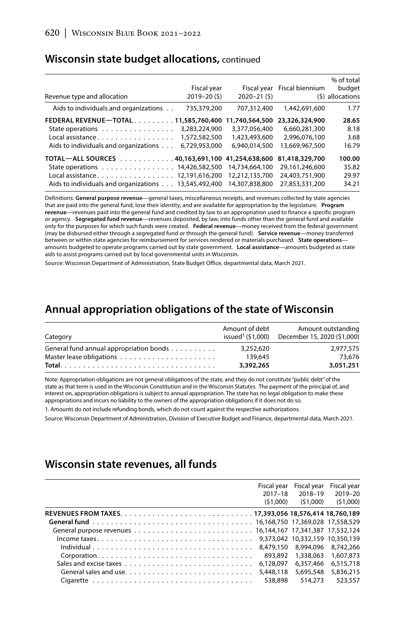#### **Wisconsin state budget allocations,** continued

| Revenue type and allocation                          | Fiscal year<br>$2019 - 20(5)$ | $2020 - 21(5)$ | Fiscal year Fiscal biennium | % of total<br>budget<br>(\$) allocations |
|------------------------------------------------------|-------------------------------|----------------|-----------------------------|------------------------------------------|
| Aids to individuals and organizations                | 735,379,200                   | 707.312.400    | 1.442.691.600               | 1.77                                     |
| FEDERAL REVENUE-TOTAL 11.585.760.400                 |                               | 11,740,564,500 | 23,326,324,900              | 28.65                                    |
| State operations                                     | 3,283,224,900                 | 3,377,056,400  | 6,660,281,300               | 8.18                                     |
| Local assistance.                                    | 1,572,582,500                 | 1,423,493,600  | 2.996.076.100               | 3.68                                     |
| Aids to individuals and organizations                | 6,729,953,000                 | 6.940.014.500  | 13,669,967,500              | 16.79                                    |
| TOTAL-ALL SOURCES 40,163,691,100 41,254,638,600      |                               |                | 81,418,329,700              | 100.00                                   |
| State operations 14,426,582,500                      |                               | 14.734.664.100 | 29.161.246.600              | 35.82                                    |
| Local assistance. 12,191,616,200                     |                               | 12.212.135.700 | 24.403.751.900              | 29.97                                    |
| Aids to individuals and organizations 13,545,492,400 |                               | 14,307,838,800 | 27.853.331.200              | 34.21                                    |

Definitions: **General purpose revenue**—general taxes, miscellaneous receipts, and revenues collected by state agencies that are paid into the general fund, lose their identity, and are available for appropriation by the legislature. **Program revenue**—revenues paid into the general fund and credited by law to an appropriation used to finance a specific program or agency. **Segregated fund revenue**—revenues deposited, by law, into funds other than the general fund and available only for the purposes for which such funds were created. **Federal revenue**—money received from the federal government (may be disbursed either through a segregated fund or through the general fund). **Service revenue**—money transferred between or within state agencies for reimbursement for services rendered or materials purchased. **State operations** amounts budgeted to operate programs carried out by state government. **Local assistance**—amounts budgeted as state aids to assist programs carried out by local governmental units in Wisconsin.

Source: Wisconsin Department of Administration, State Budget Office, departmental data, March 2021.

#### **Annual appropriation obligations of the state of Wisconsin**

| Category                                | Amount of debt | Amount outstanding<br>issued <sup>1</sup> (\$1,000) December 15, 2020 (\$1,000) |
|-----------------------------------------|----------------|---------------------------------------------------------------------------------|
| General fund annual appropriation bonds | 3.252.620      | 2.977.575                                                                       |
|                                         | 139,645        | 73.676                                                                          |
|                                         | 3,392,265      | 3.051.251                                                                       |

Note: Appropriation obligations are not general obligations of the state, and they do not constitute "public debt" of the state as that term is used in the Wisconsin Constitution and in the Wisconsin Statutes. The payment of the principal of, and interest on, appropriation obligations is subject to annual appropriation. The state has no legal obligation to make these appropriations and incurs no liability to the owners of the appropriation obligations if it does not do so.

1. Amounts do not include refunding bonds, which do not count against the respective authorizations.

Source: Wisconsin Department of Administration, Division of Executive Budget and Finance, departmental data, March 2021.

#### **Wisconsin state revenues, all funds**

|                                                                                                              | Fiscal year | Fiscal year | Fiscal year |
|--------------------------------------------------------------------------------------------------------------|-------------|-------------|-------------|
|                                                                                                              | $2017 - 18$ | 2018-19     | 2019-20     |
|                                                                                                              | (51,000)    | (51.000)    | (51,000)    |
|                                                                                                              |             |             |             |
|                                                                                                              |             |             |             |
|                                                                                                              |             |             |             |
|                                                                                                              |             |             |             |
|                                                                                                              |             |             |             |
|                                                                                                              | 893.892     | 1,338,063   | 1,607,873   |
|                                                                                                              | 6.128.097   | 6.357.466   | 6.515.718   |
| General sales and use. $\ldots$ , $\ldots$ , $\ldots$ , $\ldots$ , $\ldots$ , $\ldots$ , $\ldots$ , $\ldots$ | 5,448,118   | 5,695,548   | 5,836,215   |
|                                                                                                              | 538.898     | 514,273     | 523.557     |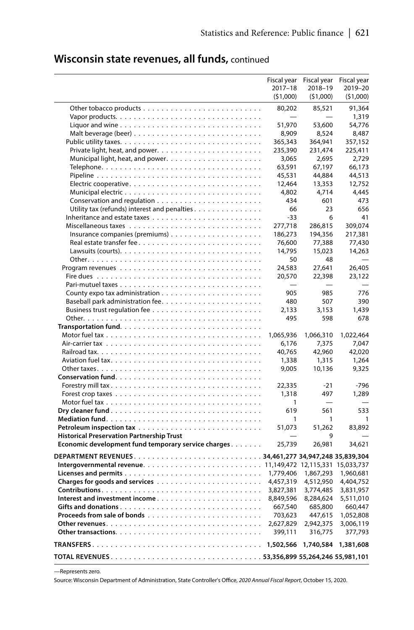### **Wisconsin state revenues, all funds,** continued

|                                                                                           | Fiscal year              | Fiscal year                      | Fiscal year         |
|-------------------------------------------------------------------------------------------|--------------------------|----------------------------------|---------------------|
|                                                                                           | $2017 - 18$<br>(51,000)  | 2018-19<br>(51,000)              | 2019-20<br>(51,000) |
|                                                                                           | 80,202                   | 85,521                           | 91,364              |
| Vapor products. $\dots \dots \dots \dots \dots \dots \dots \dots \dots \dots \dots \dots$ |                          |                                  | 1,319               |
|                                                                                           | 51,970                   | 53,600                           | 54,776              |
| Malt beverage (beer) $\ldots \ldots \ldots \ldots \ldots \ldots \ldots \ldots \ldots$     | 8,909                    | 8,524                            | 8,487               |
|                                                                                           | 365,343                  | 364,941                          | 357,152             |
|                                                                                           | 235,390                  | 231,474                          | 225,411             |
| Municipal light, heat, and power                                                          | 3,065                    | 2,695                            | 2,729               |
|                                                                                           | 63,591                   | 67,197                           | 66,173              |
|                                                                                           | 45,531                   | 44,884                           | 44,513              |
|                                                                                           | 12,464                   | 13,353                           | 12,752              |
|                                                                                           | 4,802                    | 4,714                            | 4.445               |
|                                                                                           | 434                      | 601                              | 473                 |
|                                                                                           |                          |                                  |                     |
| Utility tax (refunds) interest and penalties.                                             | 66                       | 23                               | 656                 |
|                                                                                           | $-33$                    | 6                                | 41                  |
|                                                                                           | 277,718                  | 286.815                          | 309.074             |
|                                                                                           | 186,273                  | 194,356                          | 217,381             |
| Real estate transfer fee                                                                  | 76,600                   | 77,388                           | 77,430              |
|                                                                                           | 14,795                   | 15,023                           | 14,263              |
|                                                                                           | 50                       | 48                               |                     |
|                                                                                           | 24,583                   | 27,641                           | 26,405              |
|                                                                                           | 20,570                   | 22,398                           | 23.122              |
|                                                                                           | $\overline{\phantom{0}}$ | $\overline{\phantom{0}}$         |                     |
|                                                                                           | 905                      | 985                              | 776                 |
|                                                                                           | 480                      | 507                              | 390                 |
|                                                                                           | 2,133                    | 3,153                            | 1,439               |
|                                                                                           | 495                      | 598                              | 678                 |
|                                                                                           |                          |                                  |                     |
|                                                                                           | 1,065,936                | 1,066,310                        | 1,022,464           |
|                                                                                           | 6,176                    | 7,375                            | 7,047               |
|                                                                                           | 40,765                   | 42,960                           | 42,020              |
|                                                                                           | 1,338                    | 1,315                            | 1,264<br>9,325      |
|                                                                                           | 9,005                    | 10,136                           |                     |
|                                                                                           |                          |                                  | $-796$              |
| Forestry mill tax                                                                         | 22,335<br>1,318          | $-21$<br>497                     | 1,289               |
|                                                                                           |                          |                                  |                     |
|                                                                                           | 1                        |                                  | 533                 |
|                                                                                           | 619                      | 561<br>$\mathbf{1}$              | 1                   |
|                                                                                           | 1                        | 51,262                           | 83,892              |
| <b>Historical Preservation Partnership Trust</b>                                          | 51,073                   | 9                                |                     |
| Economic development fund temporary service charges                                       | 25,739                   | 26,981                           | 34,621              |
|                                                                                           |                          |                                  |                     |
|                                                                                           |                          |                                  |                     |
|                                                                                           |                          | 11,149,472 12,115,331 15,033,737 |                     |
|                                                                                           | 1,779,406                | 1,867,293                        | 1,960,681           |
|                                                                                           | 4,457,319                | 4,512,950                        | 4,404,752           |
|                                                                                           | 3,827,381                | 3,774,485                        | 3,831,957           |
|                                                                                           | 8,849,596                | 8,284,624                        | 5,511,010           |
|                                                                                           | 667,540                  | 685,800                          | 660,447             |
|                                                                                           | 703,623                  | 447,615                          | 1,052,808           |
|                                                                                           | 2,627,829                | 2,942,375                        | 3,006,119           |
|                                                                                           | 399,111                  | 316,775                          | 377,793             |
|                                                                                           | 1,502,566                | 1,740,584                        | 1,381,608           |
|                                                                                           |                          |                                  |                     |
|                                                                                           |                          |                                  |                     |

—Represents zero.

Source: Wisconsin Department of Administration, State Controller's Office, *2020 Annual Fiscal Report*, October 15, 2020.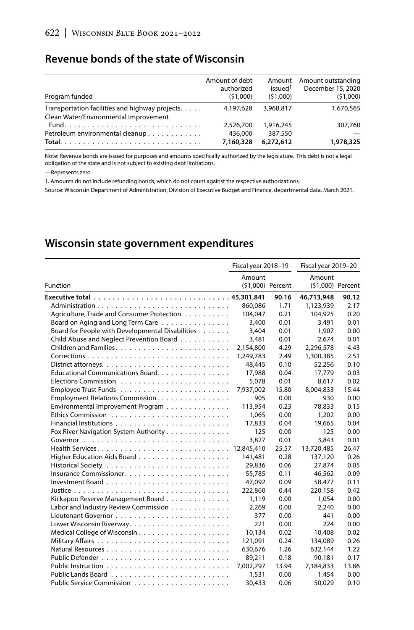#### **Revenue bonds of the state of Wisconsin**

| Program funded                                  | Amount of debt<br>authorized<br>(51,000) | issued <sup>1</sup><br>(51.000) | Amount Amount outstanding<br>December 15, 2020<br>(51,000) |
|-------------------------------------------------|------------------------------------------|---------------------------------|------------------------------------------------------------|
| Transportation facilities and highway projects. | 4.197.628                                | 3,968,817                       | 1,670,565                                                  |
| Clean Water/Environmental Improvement           |                                          |                                 |                                                            |
|                                                 | 2.526.700                                | 1.916.245                       | 307.760                                                    |
| Petroleum environmental cleanup                 | 436,000                                  | 387,550                         |                                                            |
|                                                 | 7,160,328                                | 6,272,612                       | 1,978,325                                                  |

Note: Revenue bonds are issued for purposes and amounts specifically authorized by the legislature. This debt is not a legal obligation of the state and is not subject to existing debt limitations.

—Represents zero.

1. Amounts do not include refunding bonds, which do not count against the respective authorizations.

Source: Wisconsin Department of Administration, Division of Executive Budget and Finance, departmental data, March 2021.

### **Wisconsin state government expenditures**

|                                                  | Fiscal year 2018-19         |       | Fiscal year 2019-20         |       |  |
|--------------------------------------------------|-----------------------------|-------|-----------------------------|-------|--|
| Function                                         | Amount<br>(\$1,000) Percent |       | Amount<br>(\$1,000) Percent |       |  |
|                                                  |                             | 90.16 | 46,713,948                  | 90.12 |  |
|                                                  | 860.086                     | 1.71  | 1,123,939                   | 2.17  |  |
| Agriculture, Trade and Consumer Protection       | 104,047                     | 0.21  | 104,925                     | 0.20  |  |
| Board on Aging and Long Term Care                | 3,400                       | 0.01  | 3.491                       | 0.01  |  |
| Board for People with Developmental Disabilities | 3,404                       | 0.01  | 1,907                       | 0.00  |  |
| Child Abuse and Neglect Prevention Board         | 3,481                       | 0.01  | 2,674                       | 0.01  |  |
|                                                  | 2,154,800                   | 4.29  | 2,296,578                   | 4.43  |  |
|                                                  | 1,249,783                   | 2.49  | 1,300,385                   | 2.51  |  |
|                                                  | 48.445                      | 0.10  | 52.256                      | 0.10  |  |
| Educational Communications Board.                | 17,988                      | 0.04  | 17.779                      | 0.03  |  |
|                                                  | 5,078                       | 0.01  | 8,617                       | 0.02  |  |
|                                                  | 7,937,002                   | 15.80 | 8.004.833                   | 15.44 |  |
| Employment Relations Commission.                 | 905                         | 0.00  | 930                         | 0.00  |  |
| Environmental Improvement Program                | 113.954                     | 0.23  | 78.833                      | 0.15  |  |
|                                                  | 1.065                       | 0.00  | 1,202                       | 0.00  |  |
|                                                  | 17,833                      | 0.04  | 19,665                      | 0.04  |  |
| Fox River Navigation System Authority            | 125                         | 0.00  | 125                         | 0.00  |  |
|                                                  | 3,827                       | 0.01  | 3.843                       | 0.01  |  |
|                                                  | 12,845,410                  | 25.57 | 13,720,485                  | 26.47 |  |
|                                                  | 141,481                     | 0.28  | 137,120                     | 0.26  |  |
|                                                  | 29,836                      | 0.06  | 27,874                      | 0.05  |  |
| Insurance Commissioner                           | 55.785                      | 0.11  | 46,562                      | 0.09  |  |
|                                                  | 47,092                      | 0.09  | 58,477                      | 0.11  |  |
|                                                  | 222,860                     | 0.44  | 220,158                     | 0.42  |  |
| Kickapoo Reserve Management Board                | 1.119                       | 0.00  | 1.054                       | 0.00  |  |
| Labor and Industry Review Commission             | 2,269                       | 0.00  | 2,240                       | 0.00  |  |
|                                                  | 377                         | 0.00  | 441                         | 0.00  |  |
|                                                  | 221                         | 0.00  | 224                         | 0.00  |  |
|                                                  | 10,134                      | 0.02  | 10,408                      | 0.02  |  |
|                                                  | 121,091                     | 0.24  | 134.089                     | 0.26  |  |
|                                                  | 630,676                     | 1.26  | 632,144                     | 1.22  |  |
|                                                  | 89,211                      | 0.18  | 90.181                      | 0.17  |  |
|                                                  | 7,002,797                   | 13.94 | 7,184,833                   | 13.86 |  |
|                                                  | 1,531                       | 0.00  | 1,454                       | 0.00  |  |
|                                                  | 30,433                      | 0.06  | 50,029                      | 0.10  |  |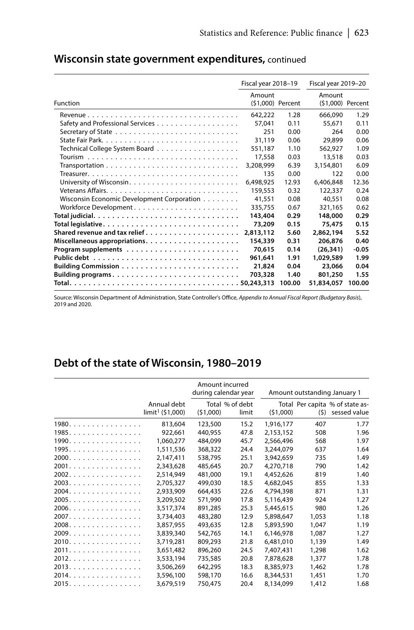|                                                                                          | Fiscal year 2018-19 |        |                   | Fiscal year 2019-20 |
|------------------------------------------------------------------------------------------|---------------------|--------|-------------------|---------------------|
|                                                                                          | Amount              |        | Amount            |                     |
| Function                                                                                 | (\$1,000) Percent   |        | (\$1,000) Percent |                     |
|                                                                                          | 642.222             | 1.28   | 666,090           | 1.29                |
|                                                                                          | 57,041              | 0.11   | 55.671            | 0.11                |
|                                                                                          | 251                 | 0.00   | 264               | 0.00                |
|                                                                                          | 31.119              | 0.06   | 29,899            | 0.06                |
|                                                                                          | 551,187             | 1.10   | 562.927           | 1.09                |
|                                                                                          | 17,558              | 0.03   | 13,518            | 0.03                |
| $Transportation \dots \dots \dots \dots \dots \dots \dots \dots \dots \dots \dots \dots$ | 3,208,999           | 6.39   | 3,154,801         | 6.09                |
|                                                                                          | 135                 | 0.00   | 122               | 0.00                |
|                                                                                          | 6,498,925           | 12.93  | 6,406,848         | 12.36               |
|                                                                                          | 159,553             | 0.32   | 122,337           | 0.24                |
| Wisconsin Economic Development Corporation                                               | 41,551              | 0.08   | 40.551            | 0.08                |
| Workforce Development                                                                    | 335,755             | 0.67   | 321.165           | 0.62                |
|                                                                                          | 143,404             | 0.29   | 148,000           | 0.29                |
|                                                                                          | 73,209              | 0.15   | 75,475            | 0.15                |
|                                                                                          | 2,813,112           | 5.60   | 2,862,194         | 5.52                |
|                                                                                          | 154,339             | 0.31   | 206,876           | 0.40                |
|                                                                                          | 70,615              | 0.14   | (26, 341)         | $-0.05$             |
|                                                                                          | 961.641             | 1.91   | 1,029,589         | 1.99                |
|                                                                                          | 21,824              | 0.04   | 23,066            | 0.04                |
|                                                                                          | 703,328             | 1.40   | 801,250           | 1.55                |
|                                                                                          |                     | 100.00 | 51,834,057        | 100.00              |

### **Wisconsin state government expenditures,** continued

Source: Wisconsin Department of Administration, State Controller's Office, *Appendix to Annual Fiscal Report (Budgetary Basis*), 2019 and 2020.

### **Debt of the state of Wisconsin, 1980–2019**

|       |                                            |          | Amount incurred<br>during calendar year |           |       | Amount outstanding January 1                    |
|-------|--------------------------------------------|----------|-----------------------------------------|-----------|-------|-------------------------------------------------|
|       | Annual debt<br>limit <sup>1</sup> (51,000) | (51,000) | Total % of debt<br>limit                | (51,000)  | (5)   | Total Per capita % of state as-<br>sessed value |
| 1980. | 813,604                                    | 123,500  | 15.2                                    | 1,916,177 | 407   | 1.77                                            |
| 1985. | 922,661                                    | 440,955  | 47.8                                    | 2,153,152 | 508   | 1.96                                            |
| 1990. | 1,060,277                                  | 484,099  | 45.7                                    | 2,566,496 | 568   | 1.97                                            |
| 1995. | 1,511,536                                  | 368,322  | 24.4                                    | 3,244,079 | 637   | 1.64                                            |
| 2000. | 2,147,411                                  | 538.795  | 25.1                                    | 3,942,659 | 735   | 1.49                                            |
| 2001. | 2,343,628                                  | 485,645  | 20.7                                    | 4,270,718 | 790   | 1.42                                            |
| 2002. | 2,514,949                                  | 481.000  | 19.1                                    | 4.452.626 | 819   | 1.40                                            |
| 2003. | 2,705,327                                  | 499,030  | 18.5                                    | 4,682,045 | 855   | 1.33                                            |
| 2004. | 2,933,909                                  | 664,435  | 22.6                                    | 4,794,398 | 871   | 1.31                                            |
| 2005. | 3,209,502                                  | 571,990  | 17.8                                    | 5,116,439 | 924   | 1.27                                            |
| 2006. | 3,517,374                                  | 891.285  | 25.3                                    | 5,445,615 | 980   | 1.26                                            |
| 2007. | 3,734,403                                  | 483,280  | 12.9                                    | 5,898,647 | 1,053 | 1.18                                            |
| 2008. | 3,857,955                                  | 493,635  | 12.8                                    | 5,893,590 | 1,047 | 1.19                                            |
| 2009. | 3,839,340                                  | 542,765  | 14.1                                    | 6.146.978 | 1,087 | 1.27                                            |
| 2010. | 3,719,281                                  | 809.293  | 21.8                                    | 6,481,010 | 1,139 | 1.49                                            |
| 2011. | 3,651,482                                  | 896,260  | 24.5                                    | 7,407,431 | 1,298 | 1.62                                            |
| 2012. | 3,533,194                                  | 735,585  | 20.8                                    | 7,878,628 | 1,377 | 1.78                                            |
| 2013. | 3,506,269                                  | 642,295  | 18.3                                    | 8,385,973 | 1,462 | 1.78                                            |
| 2014. | 3,596,100                                  | 598.170  | 16.6                                    | 8,344,531 | 1.451 | 1.70                                            |
| 2015. | 3,679,519                                  | 750,475  | 20.4                                    | 8,134,099 | 1,412 | 1.68                                            |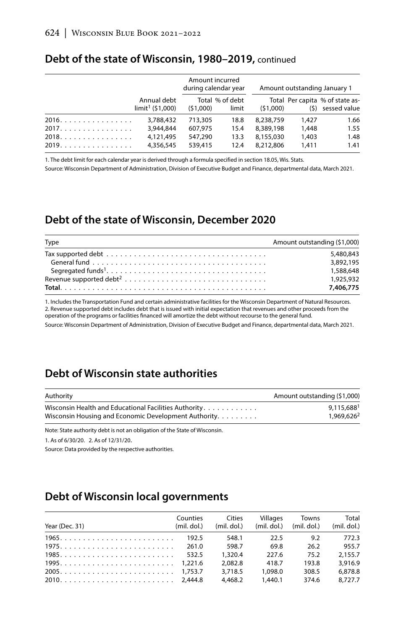|       | Annual debt<br>limit <sup>1</sup> (51,000) | Amount incurred<br>during calendar year |                          |           | Amount outstanding January 1 |                                                       |
|-------|--------------------------------------------|-----------------------------------------|--------------------------|-----------|------------------------------|-------------------------------------------------------|
|       |                                            | (51,000)                                | Total % of debt<br>limit | (51,000)  |                              | Total Per capita % of state as-<br>$(5)$ sessed value |
| 2016. | 3,788,432                                  | 713,305                                 | 18.8                     | 8.238.759 | 1.427                        | 1.66                                                  |
| 2017. | 3,944,844                                  | 607,975                                 | 15.4                     | 8.389.198 | 1,448                        | 1.55                                                  |
| 2018. | 4.121.495                                  | 547.290                                 | 13.3                     | 8.155.030 | 1,403                        | 1.48                                                  |
| 2019. | 4,356,545                                  | 539,415                                 | 12.4                     | 8,212,806 | 1.411                        | 1.41                                                  |

#### **Debt of the state of Wisconsin, 1980–2019,** continued

1. The debt limit for each calendar year is derived through a formula specified in section 18.05, Wis. Stats.

Source: Wisconsin Department of Administration, Division of Executive Budget and Finance, departmental data, March 2021.

#### **Debt of the state of Wisconsin, December 2020**

| Type                                                                                               | Amount outstanding (\$1,000) |
|----------------------------------------------------------------------------------------------------|------------------------------|
| Tax supported debt $\ldots \ldots \ldots \ldots \ldots \ldots \ldots \ldots \ldots \ldots \ldots$  | 5,480,843                    |
| General fund $\ldots \ldots \ldots \ldots \ldots \ldots \ldots \ldots \ldots \ldots \ldots \ldots$ | 3.892.195                    |
|                                                                                                    | 1,588,648                    |
|                                                                                                    | 1.925.932                    |
|                                                                                                    | 7,406,775                    |

1. Includes the Transportation Fund and certain administrative facilities for the Wisconsin Department of Natural Resources. 2. Revenue supported debt includes debt that is issued with initial expectation that revenues and other proceeds from the operation of the programs or facilities financed will amortize the debt without recourse to the general fund.

Source: Wisconsin Department of Administration, Division of Executive Budget and Finance, departmental data, March 2021.

### **Debt of Wisconsin state authorities**

| Authority                                             | Amount outstanding (\$1,000) |
|-------------------------------------------------------|------------------------------|
| Wisconsin Health and Educational Facilities Authority | 9.115.6881                   |
| Wisconsin Housing and Economic Development Authority. | 1.969.6262                   |

Note: State authority debt is not an obligation of the State of Wisconsin.

1. As of 6/30/20. 2. As of 12/31/20.

Source: Data provided by the respective authorities.

### **Debt of Wisconsin local governments**

| Year (Dec. 31) | Counties<br>(mil. dol.) | Cities<br>$(mil.$ dol.) | Villages | Towns<br>$(mil. dol.)$ $(mil. dol.)$ | Total<br>$(mil.$ dol.) |
|----------------|-------------------------|-------------------------|----------|--------------------------------------|------------------------|
|                | 192.5                   | 548.1                   | 22.5     | 9.2                                  | 772.3                  |
|                | 261.0                   | 598.7                   | 69.8     | 26.2                                 | 955.7                  |
|                | 532.5                   | 1.320.4                 | 227.6    | 75.2                                 | 2.155.7                |
| $1995$ 1,221.6 |                         | 2.082.8                 | 418.7    | 193.8                                | 3.916.9                |
|                |                         | 3.718.5                 | 1.098.0  | 308.5                                | 6.878.8                |
|                |                         | 4,468.2                 | 1,440.1  | 374.6                                | 8.727.7                |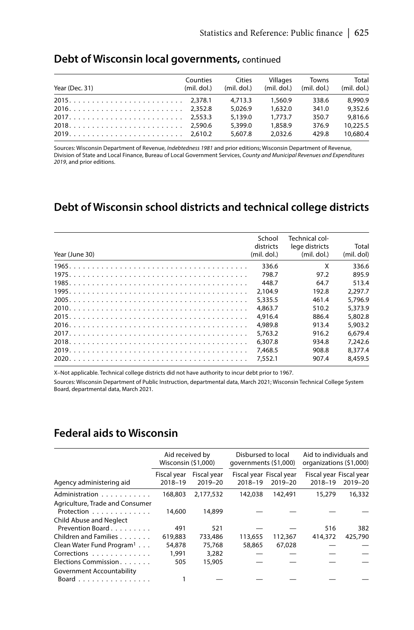| Year (Dec. 31) | Counties<br>(mil. dol.) | Cities<br>$(mil.$ dol.) | Villages           | Towns<br>$(mil. dol.)$ $(mil. dol.)$ | Total<br>(mil. dol.) |
|----------------|-------------------------|-------------------------|--------------------|--------------------------------------|----------------------|
|                |                         | 4.713.3                 | 1.560.9            | 338.6                                | 8,990.9              |
|                |                         | 5.026.9                 | 1,632.0            | 341.0                                | 9.352.6              |
|                |                         | 5.139.0                 | 1.773.7            | 350.7                                | 9.816.6              |
|                |                         | 5,399.0<br>5.607.8      | 1.858.9<br>2.032.6 | 376.9<br>429.8                       | 10.225.5<br>10,680.4 |
|                |                         |                         |                    |                                      |                      |

#### **Debt of Wisconsin local governments,** continued

Sources: Wisconsin Department of Revenue, *Indebtedness 1981* and prior editions; Wisconsin Department of Revenue, Division of State and Local Finance, Bureau of Local Government Services, *County and Municipal Revenues and Expenditures 2019*, and prior editions.

#### **Debt of Wisconsin school districts and technical college districts**

| Year (June 30) | School<br>districts<br>$(mil.$ dol.) | Technical col-<br>lege districts<br>$(mil.$ dol.) | Total<br>(mil. dol) |
|----------------|--------------------------------------|---------------------------------------------------|---------------------|
|                | 336.6                                | X                                                 | 336.6               |
|                | 798.7                                | 97.2                                              | 895.9               |
|                | 448.7                                | 64.7                                              | 513.4               |
|                | 2.104.9                              | 192.8                                             | 2.297.7             |
|                | 5,335.5                              | 461.4                                             | 5.796.9             |
|                | 4.863.7                              | 510.2                                             | 5.373.9             |
|                | 4.916.4                              | 886.4                                             | 5.802.8             |
|                | 4.989.8                              | 913.4                                             | 5.903.2             |
|                | 5.763.2                              | 916.2                                             | 6.679.4             |
|                | 6.307.8                              | 934.8                                             | 7.242.6             |
|                | 7.468.5                              | 908.8                                             | 8.377.4             |
|                | 7.552.1                              | 907.4                                             | 8.459.5             |

X–Not applicable. Technical college districts did not have authority to incur debt prior to 1967.

Sources: Wisconsin Department of Public Instruction, departmental data, March 2021; Wisconsin Technical College System Board, departmental data, March 2021.

#### **Federal aids to Wisconsin**

|                                                                          |                        | Aid received by<br>Wisconsin (\$1,000) |                                    | Disbursed to local<br>qovernments (\$1,000) | Aid to individuals and<br>organizations (\$1,000) |         |
|--------------------------------------------------------------------------|------------------------|----------------------------------------|------------------------------------|---------------------------------------------|---------------------------------------------------|---------|
| Agency administering aid                                                 | Fiscal year<br>2018-19 | Fiscal year<br>2019-20                 | Fiscal year Fiscal year<br>2018-19 | 2019-20                                     | Fiscal year Fiscal year<br>2018-19                | 2019-20 |
| Administration                                                           | 168,803                | 2,177,532                              | 142.038                            | 142,491                                     | 15,279                                            | 16,332  |
| Agriculture, Trade and Consumer<br>Protection<br>Child Abuse and Neglect | 14,600                 | 14,899                                 |                                    |                                             |                                                   |         |
| Prevention Board                                                         | 491                    | 521                                    |                                    |                                             | 516                                               | 382     |
| Children and Families                                                    | 619.883                | 733,486                                | 113.655                            | 112,367                                     | 414,372                                           | 425,790 |
| Clean Water Fund Program <sup>1</sup>                                    | 54,878                 | 75,768                                 | 58,865                             | 67.028                                      |                                                   |         |
| Corrections                                                              | 1.991                  | 3,282                                  |                                    |                                             |                                                   |         |
| Elections Commission.<br>Government Accountability                       | 505                    | 15,905                                 |                                    |                                             |                                                   |         |
| Board                                                                    |                        |                                        |                                    |                                             |                                                   |         |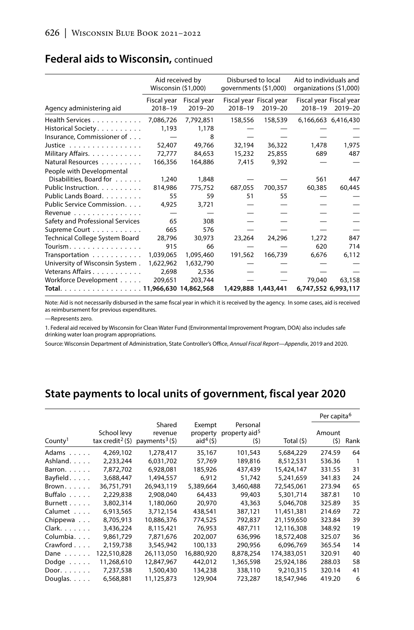|                                                   |                        | Aid received by<br>Disbursed to local<br>Wisconsin (\$1,000)<br>qovernments (\$1,000) |         | Aid to individuals and<br>organizations (\$1,000) |                                    |                     |
|---------------------------------------------------|------------------------|---------------------------------------------------------------------------------------|---------|---------------------------------------------------|------------------------------------|---------------------|
| Agency administering aid                          | Fiscal year<br>2018-19 | Fiscal vear<br>$2019 - 20$                                                            | 2018-19 | Fiscal year Fiscal year<br>2019-20                | Fiscal year Fiscal year<br>2018-19 | 2019-20             |
| Health Services                                   | 7,086,726              | 7,792,851                                                                             | 158,556 | 158,539                                           |                                    | 6,166,663 6,416,430 |
| Historical Society.                               | 1,193                  | 1,178                                                                                 |         |                                                   |                                    |                     |
| Insurance, Commissioner of                        |                        | 8                                                                                     |         |                                                   |                                    |                     |
| Justice $\ldots \ldots \ldots \ldots$             | 52,407                 | 49,766                                                                                | 32,194  | 36.322                                            | 1,478                              | 1.975               |
| Military Affairs.                                 | 72,777                 | 84.653                                                                                | 15,232  | 25,855                                            | 689                                | 487                 |
| Natural Resources                                 | 166,356                | 164,886                                                                               | 7,415   | 9,392                                             |                                    |                     |
| People with Developmental                         |                        |                                                                                       |         |                                                   |                                    |                     |
| Disabilities, Board for                           | 1,240                  | 1,848                                                                                 |         |                                                   | 561                                | 447                 |
| Public Instruction.                               | 814.986                | 775,752                                                                               | 687,055 | 700,357                                           | 60,385                             | 60,445              |
| Public Lands Board.                               | 55                     | 59                                                                                    | 51      | 55                                                |                                    |                     |
| Public Service Commission.                        | 4,925                  | 3,721                                                                                 |         |                                                   |                                    |                     |
| Revenue $\ldots$ , $\ldots$ , $\ldots$ , $\ldots$ |                        |                                                                                       |         |                                                   |                                    |                     |
| Safety and Professional Services                  | 65                     | 308                                                                                   |         |                                                   |                                    |                     |
| Supreme Court                                     | 665                    | 576                                                                                   |         |                                                   |                                    |                     |
| Technical College System Board                    | 28.796                 | 30,973                                                                                | 23,264  | 24,296                                            | 1.272                              | 847                 |
| Tourism.                                          | 915                    | 66                                                                                    |         |                                                   | 620                                | 714                 |
|                                                   | 1,039,065              | 1,095,460                                                                             | 191,562 | 166,739                                           | 6,676                              | 6,112               |
| University of Wisconsin System.                   | 1,622,962              | 1,632,790                                                                             |         |                                                   |                                    |                     |
| Veterans Affairs                                  | 2,698                  | 2,536                                                                                 |         |                                                   |                                    |                     |
| Workforce Development                             | 209,651                | 203,744                                                                               |         |                                                   | 79.040                             | 63.158              |
| Total.                                            |                        | 11,966,630 14,862,568                                                                 |         | 1,429,888 1,443,441                               | 6,747,552 6,993,117                |                     |

### **Federal aids to Wisconsin,** continued

Note: Aid is not necessarily disbursed in the same fiscal year in which it is received by the agency. In some cases, aid is received as reimbursement for previous expenditures.

—Represents zero.

1. Federal aid received by Wisconsin for Clean Water Fund (Environmental Improvement Program, DOA) also includes safe drinking water loan program appropriations.

Source: Wisconsin Department of Administration, State Controller's Office, *Annual Fiscal Report—Appendix*, 2019 and 2020.

### **State payments to local units of government, fiscal year 2020**

|                     |                                                |                                                    |                                  |                                              |             | Per capita <sup>6</sup> |                |
|---------------------|------------------------------------------------|----------------------------------------------------|----------------------------------|----------------------------------------------|-------------|-------------------------|----------------|
| County <sup>1</sup> | School levy<br>tax credit <sup>2</sup> $($ \$) | Shared<br>revenue<br>payments <sup>3</sup> $($ \$) | Exempt<br>property<br>aid $4(5)$ | Personal<br>property aid <sup>5</sup><br>(5) | Total (\$)  | Amount<br>(5)           | Rank           |
| Adams               | 4,269,102                                      | 1,278,417                                          | 35,167                           | 101.543                                      | 5,684,229   | 274.59                  | 64             |
| Ashland.            | 2,233,244                                      | 6,031,702                                          | 57,769                           | 189.816                                      | 8.512.531   | 536.36                  | $\overline{1}$ |
| Barron.             | 7,872,702                                      | 6,928,081                                          | 185,926                          | 437,439                                      | 15,424,147  | 331.55                  | 31             |
| Bayfield.           | 3.688.447                                      | 1.494.557                                          | 6.912                            | 51,742                                       | 5,241,659   | 341.83                  | 24             |
| $Brown. \ldots$ .   | 36,751,791                                     | 26,943,119                                         | 5,389,664                        | 3,460,488                                    | 72,545,061  | 273.94                  | 65             |
| Buffalo             | 2,229,838                                      | 2,908,040                                          | 64,433                           | 99,403                                       | 5,301,714   | 387.81                  | 10             |
| Burnett             | 3,802,314                                      | 1,180,060                                          | 20.970                           | 43,363                                       | 5,046,708   | 325.89                  | 35             |
| Calumet             | 6,913,565                                      | 3,712,154                                          | 438,541                          | 387,121                                      | 11,451,381  | 214.69                  | 72             |
| Chippewa            | 8,705,913                                      | 10.886.376                                         | 774,525                          | 792.837                                      | 21.159.650  | 323.84                  | 39             |
| $Clark. \ldots$     | 3,436,224                                      | 8,115,421                                          | 76,953                           | 487,711                                      | 12,116,308  | 348.92                  | 19             |
| Columbia.           | 9,861,729                                      | 7,871,676                                          | 202,007                          | 636,996                                      | 18,572,408  | 325.07                  | 36             |
| Crawford            | 2,159,738                                      | 3,545,942                                          | 100,133                          | 290,956                                      | 6,096,769   | 365.54                  | 14             |
| Dane $\ldots$       | 122,510,828                                    | 26,113,050                                         | 16,880,920                       | 8,878,254                                    | 174,383,051 | 320.91                  | 40             |
| Dodge $\ldots$ .    | 11,268,610                                     | 12,847,967                                         | 442.012                          | 1,365,598                                    | 25.924.186  | 288.03                  | 58             |
| Door. $\ldots$      | 7,237,538                                      | 1,500,430                                          | 134,238                          | 338,110                                      | 9,210,315   | 320.14                  | 41             |
| Douglas. $\ldots$ . | 6,568,881                                      | 11,125,873                                         | 129,904                          | 723,287                                      | 18,547,946  | 419.20                  | 6              |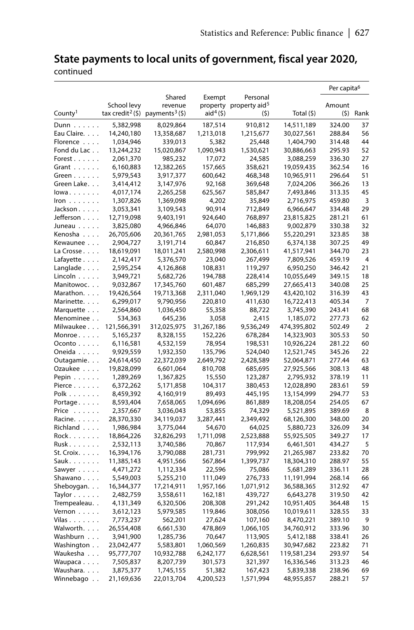# **State payments to local units of government, fiscal year 2020,**

continued

|                      |                                 |                               |             |                                    |             | Per capita <sup>6</sup> |                |
|----------------------|---------------------------------|-------------------------------|-------------|------------------------------------|-------------|-------------------------|----------------|
|                      |                                 | Shared                        | Exempt      | Personal                           |             |                         |                |
|                      | School levy                     | revenue                       |             | property property aid <sup>5</sup> |             | Amount                  |                |
| County <sup>1</sup>  | tax credit <sup>2</sup> $($ \$) | payments <sup>3</sup> $($ \$) | $aid4(\xi)$ | (5)                                | Total (\$)  | (\$)                    | Rank           |
| $Dunn \ldots \ldots$ | 5,382,998                       | 8,029,864                     | 187,514     | 910,812                            | 14,511,189  | 324.00                  | 37             |
| Eau Claire.          | 14,240,180                      | 13,358,687                    | 1,213,018   | 1,215,677                          | 30,027,561  | 288.84                  | 56             |
| Florence             | 1,034,946                       | 339,013                       | 5,382       | 25,448                             | 1,404,790   | 314.48                  | 44             |
| Fond du Lac          | 13,244,232                      | 15,020,867                    | 1,090,943   | 1,530,621                          | 30,886,663  | 295.93                  | 52             |
| Forest               | 2,061,370                       | 985,232                       | 17,072      | 24,585                             | 3,088,259   | 336.30                  | 27             |
| Grant $\ldots$       | 6,160,883                       | 12,382,265                    | 157,665     | 358,621                            | 19,059,435  | 362.54                  | 16             |
| Green $\ldots$       | 5,979,543                       | 3,917,377                     | 600,642     | 468,348                            | 10,965,911  | 296.64                  | 51             |
| Green Lake.          | 3,414,412                       | 3,147,976                     | 92,168      | 369,648                            | 7,024,206   | 366.26                  | 13             |
| lowa                 | 4,017,174                       | 2,265,258                     | 625,567     | 585,847                            | 7,493,846   | 313.35                  | 45             |
| $lron \ldots \ldots$ | 1,307,826                       | 1,369,098                     | 4,202       | 35,849                             | 2,716,975   | 459.80                  | 3              |
| Jackson              | 3,053,341                       | 3,109,543                     | 90,914      | 712,849                            | 6,966,647   | 334.48                  | 29             |
| Jefferson            | 12,719,098                      | 9,403,191                     | 924,640     | 768,897                            | 23,815,825  | 281.21                  | 61             |
| Juneau               | 3,825,080                       | 4,966,846                     | 64,070      | 146,883                            | 9,002,879   | 330.38                  | 32             |
| Kenosha              | 26,705,606                      | 20,361,765                    | 2,981,053   | 5,171,866                          | 55,220,291  | 323.85                  | 38             |
| Kewaunee             | 2,904,727                       | 3,191,714                     | 60,847      | 216,850                            | 6,374,138   | 307.25                  | 49             |
| La Crosse            | 18,619,091                      | 18,011,241                    | 2,580,998   | 2,306,611                          | 41,517,941  | 344.70                  | 23             |
| Lafayette            | 2,142,417                       | 5,376,570                     | 23,040      | 267,499                            | 7,809,526   | 459.19                  | $\overline{4}$ |
| Langlade $\ldots$ .  | 2,595,254                       | 4,126,868                     | 108,831     | 119,297                            | 6,950,250   | 346.42                  | 21             |
| Lincoln $\ldots$ .   | 3,949,721                       | 5,682,726                     | 194,788     | 228,414                            | 10,055,649  | 349.15                  | 18             |
| Manitowoc            | 9,032,867                       | 17,345,760                    | 601,487     | 685,299                            | 27,665,413  | 340.08                  | 25             |
| Marathon.            | 19,426,564                      | 19,713,368                    | 2,311,040   | 1,969,129                          | 43,420,102  | 316.39                  | 43             |
| Marinette.           | 6,299,017                       | 9,790,956                     | 220,810     | 411,630                            | 16,722,413  | 405.34                  | 7              |
| Marquette            | 2,564,860                       | 1,036,450                     | 55,358      | 88,722                             | 3,745,390   | 243.41                  | 68             |
| Menominee            | 534,363                         | 645,236                       | 3,058       | 2,415                              | 1,185,072   | 277.73                  | 62             |
| Milwaukee            | 121,566,391                     | 312,025,975                   | 31,267,186  | 9,536,249                          | 474,395,802 | 502.49                  | $\overline{2}$ |
| Monroe               | 5,165,237                       | 8,328,155                     | 152,226     | 678,284                            | 14,323,903  | 305.53                  | 50             |
| Oconto               | 6,116,581                       | 4,532,159                     | 78,954      | 198,531                            | 10,926,224  | 281.22                  | 60             |
| Oneida               | 9,929,559                       | 1,932,350                     | 135,796     | 524,040                            | 12,521,745  | 345.26                  | 22             |
| Outagamie.           | 24,614,450                      | 22,372,039                    | 2,649,792   | 2,428,589                          | 52,064,871  | 277.44                  | 63             |
| Ozaukee              | 19,828,099                      | 6,601,064                     | 810,708     | 685,695                            | 27,925,566  | 308.13                  | 48             |
| Pepin                | 1,289,269                       | 1,367,825                     | 15,550      | 123,287                            | 2,795,932   | 378.19                  | 11             |
| Pierce               | 6,372,262                       | 5,171,858                     | 104,317     | 380,453                            | 12,028,890  | 283.61                  | 59             |
| $Polk$               | 8,459,392                       | 4,160,919                     | 89,493      | 445,195                            | 13,154,999  | 294.77                  | 53             |
| Portage              | 8,593,404                       | 7,658,065                     | 1,094,696   | 861,889                            | 18,208,054  | 254.05                  | 67             |
| Price                | 2,357,667                       | 3,036,043                     | 53,855      | 74,329                             | 5,521,895   | 389.69                  | 8              |
| Racine.              | 28,370,330                      | 34,119,037                    | 3,287,441   | 2,349,492                          | 68,126,300  | 348.00                  | 20             |
| Richland             | 1,986,984                       | 3,775,044                     | 54,670      | 64,025                             | 5,880,723   | 326.09                  | 34             |
| Rock.                | 18,864,226                      | 32,826,293                    | 1,711,098   | 2,523,888                          | 55,925,505  | 349.27                  | 17             |
| Rusk                 | 2,532,113                       | 3,740,586                     | 70,867      | 117,934                            | 6,461,501   | 434.27                  | 5              |
| St. Croix.           | 16,394,176                      | 3,790,088                     | 281,731     | 799,992                            | 21,265,987  | 233.82                  | 70             |
| Sauk.                | 11,385,143                      | 4,951,566                     | 567,864     | 1,399,737                          | 18,304,310  | 288.97                  | 55             |
| Sawyer $\dots$ .     | 4,471,272                       | 1,112,334                     | 22,596      | 75,086                             | 5,681,289   | 336.11                  | 28             |
| Shawano              | 5,549,003                       | 5,255,210                     | 111,049     | 276,733                            | 11,191,994  | 268.14                  | 66             |
| Sheboygan.           | 16,344,377                      | 17,214,911                    | 1,957,166   | 1,071,912                          | 36,588,365  | 312.92                  | 47             |
| Taylor $\ldots$      | 2,482,759                       | 3,558,611                     | 162,181     | 439,727                            | 6,643,278   | 319.50                  | 42             |
| Trempealeau          | 4,131,349                       | 6,320,506                     | 208,308     | 291,242                            | 10,951,405  | 364.48                  | 15             |
| Vernon               | 3,612,123                       | 5,979,585                     | 119,846     | 308,056                            | 10,019,611  | 328.55                  | 33             |
| Vilas                | 7,773,237                       | 562,201                       | 27,624      | 107,160                            | 8,470,221   | 389.10                  | 9              |
| Walworth.            | 26,554,408                      | 6,661,530                     | 478,869     | 1,066,105                          | 34,760,912  | 333.96                  | 30             |
| Washburn             | 3,941,900                       | 1,285,736                     | 70,647      | 113,905                            | 5,412,188   | 338.41                  | 26             |
| Washington           | 23,042,477                      | 5,583,801                     | 1,060,569   | 1,260,835                          | 30,947,682  | 223.82                  | 71             |
| Waukesha             | 95,777,707                      | 10,932,788                    | 6,242,177   | 6,628,561                          | 119,581,234 | 293.97                  | 54             |
| Waupaca              | 7,505,837                       | 8,207,739                     | 301,573     | 321,397                            | 16,336,546  | 313.23                  | 46             |
| Waushara.            | 3,875,377                       | 1,745,155                     | 51,382      | 167,423                            | 5,839,338   | 238.96                  | 69             |
| Winnebago            | 21,169,636                      | 22,013,704                    | 4,200,523   | 1,571,994                          | 48,955,857  | 288.21                  | 57             |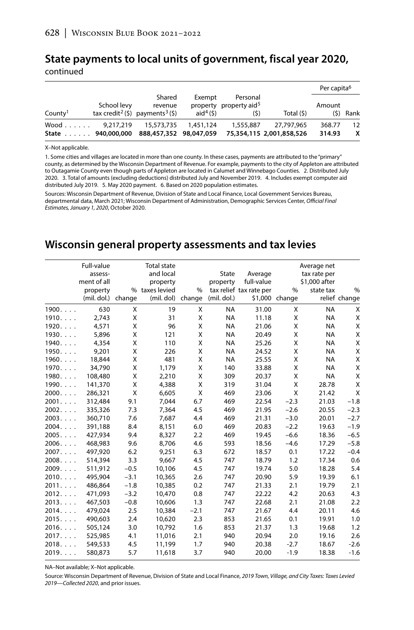## **State payments to local units of government, fiscal year 2020,**

continued

|                                         |             |                                                                              |                                  |                                                        |                                        | Per capita <sup>6</sup> |            |
|-----------------------------------------|-------------|------------------------------------------------------------------------------|----------------------------------|--------------------------------------------------------|----------------------------------------|-------------------------|------------|
| County <sup>1</sup>                     | School levy | Shared<br>revenue<br>tax credit <sup>2</sup> (\$) payments <sup>3</sup> (\$) | Exempt<br>aid <sup>4</sup> $(5)$ | Personal<br>property property aid <sup>5</sup><br>(\$) | Total (\$)                             | Amount                  | $(5)$ Rank |
| $Wood \dots \dots$<br>State 940,000,000 | 9.217.219   | 15,573,735<br>888,457,352 98,047,059                                         | 1,451,124                        | 1,555,887                                              | 27.797.965<br>75,354,115 2,001,858,526 | 368.77<br>314.93        | 12<br>x    |

X–Not applicable.

1. Some cities and villages are located in more than one county. In these cases, payments are attributed to the "primary" county, as determined by the Wisconsin Department of Revenue. For example, payments to the city of Appleton are attributed to Outagamie County even though parts of Appleton are located in Calumet and Winnebago Counties. 2. Distributed July 2020. 3. Total of amounts (excluding deductions) distributed July and November 2019. 4. Includes exempt computer aid distributed July 2019. 5. May 2020 payment. 6. Based on 2020 population estimates.

Sources: Wisconsin Department of Revenue, Division of State and Local Finance, Local Government Services Bureau, departmental data, March 2021; Wisconsin Department of Administration, Demographic Services Center, *Official Final Estimates, January 1, 2020*, October 2020.

#### **Wisconsin general property assessments and tax levies**

|                | Full-value<br>assess- |        | <b>Total state</b><br>and local |        | <b>State</b> | Average                 |                | Average net<br>tax rate per |               |
|----------------|-----------------------|--------|---------------------------------|--------|--------------|-------------------------|----------------|-----------------------------|---------------|
|                | ment of all           |        | property                        |        | property     | full-value              |                | \$1,000 after               |               |
|                | property              |        | % taxes levied                  | $\%$   |              | tax relief tax rate per | $\%$           | state tax                   | %             |
|                | (mil. dol.)           | change | (mil. dol) change               |        | (mil. dol.)  |                         | \$1,000 change |                             | relief change |
| 1900           | 630                   | X      | 19                              | X      | <b>NA</b>    | 31.00                   | X              | <b>NA</b>                   | X             |
| 1910.          | 2.743                 | X      | 31                              | X      | <b>NA</b>    | 11.18                   | X              | <b>NA</b>                   | X             |
| 1920.          | 4,571                 | X      | 96                              | X      | <b>NA</b>    | 21.06                   | X              | <b>NA</b>                   | X             |
| 1930           | 5,896                 | X      | 121                             | X      | <b>NA</b>    | 20.49                   | X              | <b>NA</b>                   | X             |
| 1940           | 4.354                 | X      | 110                             | X      | <b>NA</b>    | 25.26                   | X              | <b>NA</b>                   | Χ             |
| 1950           | 9.201                 | X      | 226                             | X      | <b>NA</b>    | 24.52                   | X              | <b>NA</b>                   | Χ             |
| 1960           | 18,844                | X      | 481                             | X      | <b>NA</b>    | 25.55                   | X              | <b>NA</b>                   | Χ             |
| 1970           | 34,790                | X      | 1,179                           | X      | 140          | 33.88                   | X              | <b>NA</b>                   | Χ             |
| 1980           | 108,480               | X      | 2,210                           | X      | 309          | 20.37                   | X              | <b>NA</b>                   | Χ             |
| 1990           | 141,370               | X      | 4.388                           | X      | 319          | 31.04                   | X              | 28.78                       | X             |
| 2000.          | 286,321               | X      | 6.605                           | X      | 469          | 23.06                   | X              | 21.42                       | X             |
| 2001           | 312.484               | 9.1    | 7.044                           | 6.7    | 469          | 22.54                   | $-2.3$         | 21.03                       | $-1.8$        |
| 2002           | 335,326               | 7.3    | 7.364                           | 4.5    | 469          | 21.95                   | $-2.6$         | 20.55                       | $-2.3$        |
| 2003           | 360,710               | 7.6    | 7,687                           | 4.4    | 469          | 21.31                   | $-3.0$         | 20.01                       | $-2.7$        |
| 2004.          | 391,188               | 8.4    | 8,151                           | 6.0    | 469          | 20.83                   | $-2.2$         | 19.63                       | $-1.9$        |
| 2005           | 427,934               | 9.4    | 8,327                           | 2.2    | 469          | 19.45                   | $-6.6$         | 18.36                       | $-6.5$        |
| 2006.          | 468,983               | 9.6    | 8,706                           | 4.6    | 593          | 18.56                   | $-4.6$         | 17.29                       | $-5.8$        |
| 2007.          | 497.920               | 6.2    | 9.251                           | 6.3    | 672          | 18.57                   | 0.1            | 17.22                       | $-0.4$        |
| 2008           | 514,394               | 3.3    | 9,667                           | 4.5    | 747          | 18.79                   | 1.2            | 17.34                       | 0.6           |
| 2009.          | 511.912               | $-0.5$ | 10,106                          | 4.5    | 747          | 19.74                   | 5.0            | 18.28                       | 5.4           |
| 2010.          | 495.904               | $-3.1$ | 10,365                          | 2.6    | 747          | 20.90                   | 5.9            | 19.39                       | 6.1           |
| 2011           | 486.864               | $-1.8$ | 10,385                          | 0.2    | 747          | 21.33                   | 2.1            | 19.79                       | 2.1           |
| 2012           | 471,093               | $-3.2$ | 10,470                          | 0.8    | 747          | 22.22                   | 4.2            | 20.63                       | 4.3           |
| 2013           | 467,503               | $-0.8$ | 10,606                          | 1.3    | 747          | 22.68                   | 2.1            | 21.08                       | 2.2           |
| 2014.          | 479,024               | 2.5    | 10,384                          | $-2.1$ | 747          | 21.67                   | 4.4            | 20.11                       | 4.6           |
| 2015           | 490,603               | 2.4    | 10,620                          | 2.3    | 853          | 21.65                   | 0.1            | 19.91                       | 1.0           |
| 2016.          | 505,124               | 3.0    | 10,792                          | 1.6    | 853          | 21.37                   | 1.3            | 19.68                       | 1.2           |
| $2017. \ldots$ | 525,985               | 4.1    | 11.016                          | 2.1    | 940          | 20.94                   | 2.0            | 19.16                       | 2.6           |
| 2018.          | 549,533               | 4.5    | 11,199                          | 1.7    | 940          | 20.38                   | $-2.7$         | 18.67                       | $-2.6$        |
| 2019           | 580,873               | 5.7    | 11,618                          | 3.7    | 940          | 20.00                   | $-1.9$         | 18.38                       | $-1.6$        |

NA–Not available; X–Not applicable.

Source: Wisconsin Department of Revenue, Division of State and Local Finance, *2019 Town, Village, and City Taxes: Taxes Levied 2019—Collected 2020*, and prior issues.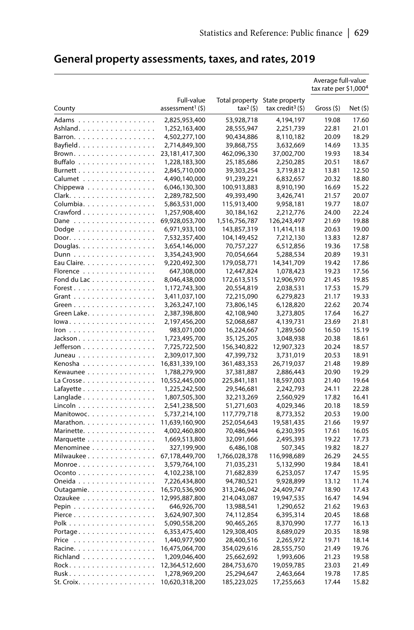|                                                  |                                 |                           |                              | Average full-value<br>tax rate per \$1,000 <sup>4</sup> |                |
|--------------------------------------------------|---------------------------------|---------------------------|------------------------------|---------------------------------------------------------|----------------|
|                                                  | Full-value                      | Total property            | State property               |                                                         |                |
| County                                           | assessment <sup>1</sup> (\$)    | $tax^2$ (\$)              | tax credit <sup>3</sup> (\$) | Gross (\$)                                              | Net(5)         |
| Adams                                            | 2,825,953,400                   | 53,928,718                | 4,194,197                    | 19.08                                                   | 17.60          |
| Ashland.                                         | 1,252,163,400                   | 28,555,947                | 2,251,739                    | 22.81                                                   | 21.01          |
| Barron.                                          | 4,502,277,100                   | 90,434,886                | 8,110,182                    | 20.09                                                   | 18.29          |
| Bayfield.                                        | 2,714,849,300                   | 39,868,755                | 3,632,669                    | 14.69                                                   | 13.35          |
| Brown.                                           | 23,181,417,300                  | 462,096,330               | 37,002,700                   | 19.93                                                   | 18.34          |
| Buffalo                                          | 1,228,183,300                   | 25,185,686                | 2,250,285                    | 20.51                                                   | 18.67          |
| Burnett                                          | 2,845,710,000                   | 39,303,254                | 3,719,812                    | 13.81                                                   | 12.50          |
| Calumet                                          | 4,490,140,000                   | 91,239,221                | 6,832,657                    | 20.32                                                   | 18.80          |
| Chippewa                                         | 6,046,130,300                   | 100,913,883               | 8,910,190                    | 16.69                                                   | 15.22          |
| Clark.                                           | 2,289,782,500                   | 49,393,490                | 3,426,741                    | 21.57                                                   | 20.07          |
| Columbia.                                        | 5,863,531,000                   | 115,913,400               | 9,958,181                    | 19.77                                                   | 18.07          |
| $C$ rawford $\ldots \ldots \ldots \ldots \ldots$ | 1,257,908,400                   | 30,184,162                | 2,212,776                    | 24.00                                                   | 22.24          |
| Dane                                             | 69,928,053,700                  | 1,516,756,787             | 126,243,497                  | 21.69                                                   | 19.88          |
| Dodge                                            | 6,971,933,100                   | 143,857,319               | 11,414,118                   | 20.63                                                   | 19.00          |
|                                                  | 7,532,357,400                   | 104,149,452               | 7,212,130                    | 13.83                                                   | 12.87          |
| Douglas. $\ldots$ .                              | 3,654,146,000                   | 70,757,227                | 6,512,856                    | 19.36                                                   | 17.58          |
| Dunn                                             | 3,354,243,900                   | 70,054,664                | 5,288,534                    | 20.89                                                   | 19.31          |
| Eau Claire.                                      | 9,220,492,300                   | 179,058,771               | 14,341,709                   | 19.42                                                   | 17.86          |
| Florence                                         | 647,308,000                     | 12,447,824                | 1,078,423                    | 19.23                                                   | 17.56          |
| Fond du Lac                                      | 8,046,438,000                   | 172,613,515               | 12,906,970                   | 21.45                                                   | 19.85          |
| Forest.                                          | 1,172,743,300                   | 20,554,819                | 2,038,531                    | 17.53                                                   | 15.79          |
| Grant                                            | 3,411,037,100                   | 72,215,090                | 6,279,823                    | 21.17                                                   | 19.33          |
| Green.                                           | 3,263,247,100                   | 73,806,145                | 6,128,820                    | 22.62                                                   | 20.74          |
| Green Lake.                                      | 2,387,398,800                   | 42,108,940                | 3,273,805                    | 17.64                                                   | 16.27          |
| lowa                                             | 2,197,456,200                   | 52,068,687                | 4,139,731                    | 23.69                                                   | 21.81          |
| lron                                             | 983,071,000                     | 16,224,667                | 1,289,560                    | 16.50                                                   | 15.19<br>18.61 |
| Jackson.<br>Jefferson                            | 1,723,495,700<br>7,725,722,500  | 35,125,205<br>156,340,822 | 3,048,938<br>12,907,323      | 20.38<br>20.24                                          | 18.57          |
| Juneau                                           | 2,309,017,300                   | 47,399,732                | 3,731,019                    | 20.53                                                   | 18.91          |
| Kenosha                                          | 16,831,339,100                  | 361,483,353               | 26,719,037                   | 21.48                                                   | 19.89          |
| Kewaunee                                         | 1,788,279,900                   | 37,381,887                | 2,886,443                    | 20.90                                                   | 19.29          |
| La Crosse $\ldots \ldots \ldots \ldots \ldots$   | 10,552,445,000                  | 225,841,181               | 18,597,003                   | 21.40                                                   | 19.64          |
| Lafayette $\ldots \ldots \ldots \ldots \ldots$   | 1,225,242,500                   | 29,546,681                | 2,242,793                    | 24.11                                                   | 22.28          |
| Langlade                                         | 1,807,505,300                   | 32,213,269                | 2,560,929                    | 17.82                                                   | 16.41          |
| Lincoln                                          | 2,541,238,500                   | 51,271,603                | 4,029,346                    | 20.18                                                   | 18.59          |
| Manitowoc.                                       | 5,737,214,100                   | 117,779,718               | 8,773,352                    | 20.53                                                   | 19.00          |
| Marathon.                                        | 11,639,160,900                  | 252,054,643               | 19,581,435                   | 21.66                                                   | 19.97          |
| Marinette.                                       | 4,002,460,800                   | 70,486,944                | 6,230,395                    | 17.61                                                   | 16.05          |
| Marquette                                        | 1,669,513,800                   | 32,091,666                | 2,495,393                    | 19.22                                                   | 17.73          |
| Menominee                                        | 327,199,900                     | 6,486,108                 | 507,345                      | 19.82                                                   | 18.27          |
| Milwaukee                                        | 67,178,449,700                  | 1,766,028,378             | 116,998,689                  | 26.29                                                   | 24.55          |
| Monroe.                                          | 3,579,764,100                   | 71,035,231                | 5,132,990                    | 19.84                                                   | 18.41          |
| Oconto                                           | 4,102,238,100                   | 71,682,839                | 6,253,057                    | 17.47                                                   | 15.95          |
| Oneida                                           | 7,226,434,800                   | 94,780,521                | 9,928,899                    | 13.12                                                   | 11.74          |
| Outagamie.                                       | 16,570,536,900                  | 313,246,042               | 24,409,747                   | 18.90                                                   | 17.43          |
| Ozaukee                                          | 12,995,887,800                  | 214,043,087               | 19,947,535                   | 16.47                                                   | 14.94          |
| Pepin                                            | 646,926,700                     | 13,988,541                | 1,290,652                    | 21.62                                                   | 19.63          |
| Pierce                                           | 3,624,907,300                   | 74,112,854                | 6,395,314                    | 20.45                                                   | 18.68          |
|                                                  | 5,090,558,200                   | 90,465,265                | 8,370,990                    | 17.77                                                   | 16.13          |
| Portage.                                         | 6,353,475,400                   | 129,308,405               | 8,689,029                    | 20.35                                                   | 18.98          |
| Price $\ldots \ldots \ldots \ldots \ldots$       | 1,440,977,900                   | 28,400,516                | 2,265,972                    | 19.71                                                   | 18.14<br>19.76 |
| Racine.                                          | 16,475,064,700                  | 354,029,616               | 28,555,750                   | 21.49                                                   |                |
| Richland<br>Rock.                                | 1,209,046,400<br>12,364,512,600 | 25,662,692<br>284,753,670 | 1,993,606<br>19,059,785      | 21.23<br>23.03                                          | 19.58<br>21.49 |
|                                                  | 1,278,969,200                   | 25,294,647                | 2,463,664                    | 19.78                                                   | 17.85          |
| St. Croix.                                       | 10,620,318,200                  | 185,223,025               | 17,255,663                   | 17.44                                                   | 15.82          |
|                                                  |                                 |                           |                              |                                                         |                |

### **General property assessments, taxes, and rates, 2019**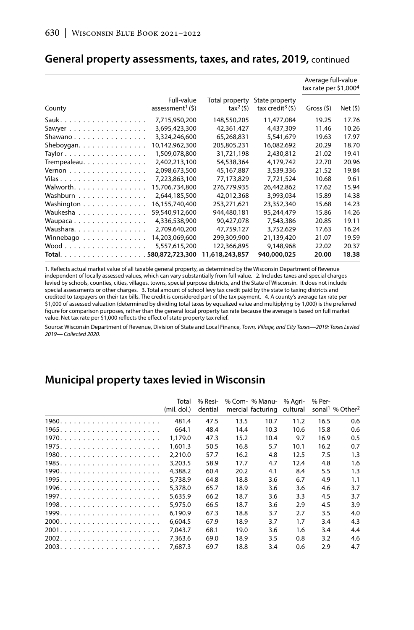|                                              |                                               |                                        |                                                 | Average full-value<br>tax rate per \$1,000 <sup>4</sup> |        |
|----------------------------------------------|-----------------------------------------------|----------------------------------------|-------------------------------------------------|---------------------------------------------------------|--------|
| County                                       | Full-value<br>assessment <sup>1</sup> $($ \$) | Total property<br>tax <sup>2</sup> (5) | State property<br>tax credit <sup>3</sup> $(5)$ | Gross(5)                                                | Net(5) |
|                                              | 7,715,950,200                                 | 148,550,205                            | 11,477,084                                      | 19.25                                                   | 17.76  |
| Sawyer                                       | 3,695,423,300                                 | 42,361,427                             | 4,437,309                                       | 11.46                                                   | 10.26  |
| Shawano                                      | 3,324,246,600                                 | 65,268,831                             | 5,541,679                                       | 19.63                                                   | 17.97  |
| Sheboygan.                                   | 10,142,962,300                                | 205,805,231                            | 16,082,692                                      | 20.29                                                   | 18.70  |
| Taylor $\ldots \ldots \ldots \ldots \ldots$  | 1,509,078,800                                 | 31,721,198                             | 2,430,812                                       | 21.02                                                   | 19.41  |
| Trempealeau.                                 | 2,402,213,100                                 | 54,538,364                             | 4.179.742                                       | 22.70                                                   | 20.96  |
| Vernon $\dots\dots\dots\dots\dots\dots\dots$ | 2,098,673,500                                 | 45,167,887                             | 3,539,336                                       | 21.52                                                   | 19.84  |
| Vilas                                        | 7,223,863,100                                 | 77,173,829                             | 7.721.524                                       | 10.68                                                   | 9.61   |
| Walworth.                                    | 15,706,734,800                                | 276,779,935                            | 26,442,862                                      | 17.62                                                   | 15.94  |
| Washburn                                     | 2,644,185,500                                 | 42,012,368                             | 3,993,034                                       | 15.89                                                   | 14.38  |
| Washington                                   | 16.155.740.400                                | 253.271.621                            | 23,352,340                                      | 15.68                                                   | 14.23  |
| Waukesha                                     | 59,540,912,600                                | 944,480,181                            | 95,244,479                                      | 15.86                                                   | 14.26  |
| Waupaca                                      | 4,336,538,900                                 | 90,427,078                             | 7,543,386                                       | 20.85                                                   | 19.11  |
| Waushara.                                    | 2,709,640,200                                 | 47,759,127                             | 3,752,629                                       | 17.63                                                   | 16.24  |
| Winnebago                                    | 14,203,069,600                                | 299,309,900                            | 21,139,420                                      | 21.07                                                   | 19.59  |
|                                              | 5,557,615,200                                 | 122,366,895                            | 9,148,968                                       | 22.02                                                   | 20.37  |
|                                              |                                               | 11,618,243,857                         | 940,000,025                                     | 20.00                                                   | 18.38  |

#### **General property assessments, taxes, and rates, 2019,** continued

1. Reflects actual market value of all taxable general property, as determined by the Wisconsin Department of Revenue independent of locally assessed values, which can vary substantially from full value. 2. Includes taxes and special charges levied by schools, counties, cities, villages, towns, special purpose districts, and the State of Wisconsin. It does not include special assessments or other charges. 3. Total amount of school levy tax credit paid by the state to taxing districts and credited to taxpayers on their tax bills. The credit is considered part of the tax payment. 4. A county's average tax rate per \$1,000 of assessed valuation (determined by dividing total taxes by equalized value and multiplying by 1,000) is the preferred figure for comparison purposes, rather than the general local property tax rate because the average is based on full market value. Net tax rate per \$1,000 reflects the effect of state property tax relief.

Source: Wisconsin Department of Revenue, Division of State and Local Finance, *Town, Village, and City Taxes—2019: Taxes Levied 2019— Collected 2020*.

### **Municipal property taxes levied in Wisconsin**

| Total<br>(mil. dol.) | % Resi-<br>dential |      | % Com- % Manu- % Agri-<br>mercial facturing cultural |      | % Per- | sonal <sup>1</sup> % Other <sup>2</sup> |
|----------------------|--------------------|------|------------------------------------------------------|------|--------|-----------------------------------------|
| 481.4                | 47.5               | 13.5 | 10.7                                                 | 11.2 | 16.5   | 0.6                                     |
| 664.1                | 48.4               | 14.4 | 10.3                                                 | 10.6 | 15.8   | 0.6                                     |
| 1,179.0              | 47.3               | 15.2 | 10.4                                                 | 9.7  | 16.9   | 0.5                                     |
| 1.601.3              | 50.5               | 16.8 | 5.7                                                  | 10.1 | 16.2   | 0.7                                     |
| 2.210.0              | 57.7               | 16.2 | 4.8                                                  | 12.5 | 7.5    | 1.3                                     |
| 3,203.5              | 58.9               | 17.7 | 4.7                                                  | 12.4 | 4.8    | 1.6                                     |
| 4,388.2              | 60.4               | 20.2 | 4.1                                                  | 8.4  | 5.5    | 1.3                                     |
| 5.738.9              | 64.8               | 18.8 | 3.6                                                  | 6.7  | 4.9    | 1.1                                     |
| 5,378.0              | 65.7               | 18.9 | 3.6                                                  | 3.6  | 4.6    | 3.7                                     |
| 5.635.9              | 66.2               | 18.7 | 3.6                                                  | 3.3  | 4.5    | 3.7                                     |
| 5,975.0              | 66.5               | 18.7 | 3.6                                                  | 2.9  | 4.5    | 3.9                                     |
| 6.190.9              | 67.3               | 18.8 | 3.7                                                  | 2.7  | 3.5    | 4.0                                     |
| 6.604.5              | 67.9               | 18.9 | 3.7                                                  | 1.7  | 3.4    | 4.3                                     |
| 7.043.7              | 68.1               | 19.0 | 3.6                                                  | 1.6  | 3.4    | 4.4                                     |
| 7,363.6              | 69.0               | 18.9 | 3.5                                                  | 0.8  | 3.2    | 4.6                                     |
| 7.687.3              | 69.7               | 18.8 | 3.4                                                  | 0.6  | 2.9    | 4.7                                     |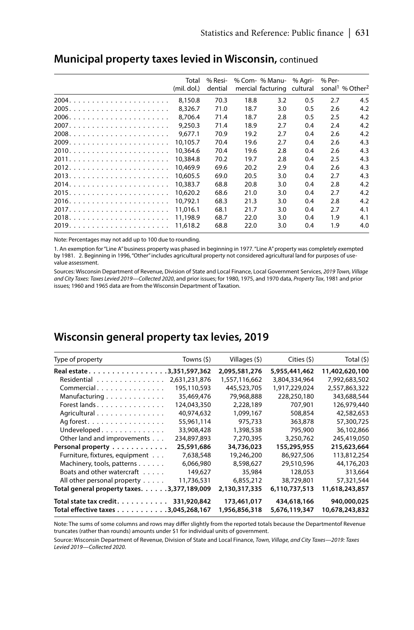| Total<br>(mil. dol.) | % Resi-<br>dential |      | % Com- % Manu- % Agri-<br>mercial facturing cultural |     | % Per- | sonal <sup>1</sup> % Other <sup>2</sup> |
|----------------------|--------------------|------|------------------------------------------------------|-----|--------|-----------------------------------------|
| 8.150.8              | 70.3               | 18.8 | 3.2                                                  | 0.5 | 2.7    | 4.5                                     |
| 8.326.7              | 71.0               | 18.7 | 3.0                                                  | 0.5 | 2.6    | 4.2                                     |
| 8.706.4              | 71.4               | 18.7 | 2.8                                                  | 0.5 | 2.5    | 4.2                                     |
| 9,250.3              | 71.4               | 18.9 | 2.7                                                  | 0.4 | 2.4    | 4.2                                     |
| 9.677.1              | 70.9               | 19.2 | 2.7                                                  | 0.4 | 2.6    | 4.2                                     |
| 10.105.7             | 70.4               | 19.6 | 2.7                                                  | 0.4 | 2.6    | 4.3                                     |
| 10,364.6             | 70.4               | 19.6 | 2.8                                                  | 0.4 | 2.6    | 4.3                                     |
| 10,384.8             | 70.2               | 19.7 | 2.8                                                  | 0.4 | 2.5    | 4.3                                     |
| 10.469.9             | 69.6               | 20.2 | 2.9                                                  | 0.4 | 2.6    | 4.3                                     |
| 10,605.5             | 69.0               | 20.5 | 3.0                                                  | 0.4 | 2.7    | 4.3                                     |
| 10.383.7             | 68.8               | 20.8 | 3.0                                                  | 0.4 | 2.8    | 4.2                                     |
| 10,620.2             | 68.6               | 21.0 | 3.0                                                  | 0.4 | 2.7    | 4.2                                     |
| 10.792.1             | 68.3               | 21.3 | 3.0                                                  | 0.4 | 2.8    | 4.2                                     |
| 11.016.1             | 68.1               | 21.7 | 3.0                                                  | 0.4 | 2.7    | 4.1                                     |
| 11,198.9             | 68.7               | 22.0 | 3.0                                                  | 0.4 | 1.9    | 4.1                                     |
| 11,618.2             | 68.8               | 22.0 | 3.0                                                  | 0.4 | 1.9    | 4.0                                     |

#### **Municipal property taxes levied in Wisconsin,** continued

Note: Percentages may not add up to 100 due to rounding.

1. An exemption for "Line A" business property was phased in beginning in 1977. "Line A" property was completely exempted by 1981. 2. Beginning in 1996, "Other" includes agricultural property not considered agricultural land for purposes of usevalue assessment.

Sources: Wisconsin Department of Revenue, Division of State and Local Finance, Local Government Services, *2019 Town, Village and City Taxes: Taxes Levied 2019—Collected 2020*, and prior issues; for 1980, 1975, and 1970 data, *Property Tax*, 1981 and prior issues; 1960 and 1965 data are from the Wisconsin Department of Taxation.

### **Wisconsin general property tax levies, 2019**

| Type of property                                               | Towns (\$)    | Villages (\$)                | Cities (\$)                  | Total (\$)                    |
|----------------------------------------------------------------|---------------|------------------------------|------------------------------|-------------------------------|
| Real estate. 3,351,597,362                                     |               | 2,095,581,276                | 5,955,441,462                | 11,402,620,100                |
| Residential                                                    | 2,631,231,876 | 1,557,116,662                | 3,804,334,964                | 7,992,683,502                 |
| Commercial                                                     | 195,110,593   | 445,523,705                  | 1,917,229,024                | 2,557,863,322                 |
| Manufacturing                                                  | 35,469,476    | 79,968,888                   | 228,250,180                  | 343,688,544                   |
| Forest lands                                                   | 124,043,350   | 2,228,189                    | 707.901                      | 126,979,440                   |
| Agricultural                                                   | 40,974,632    | 1,099,167                    | 508,854                      | 42,582,653                    |
| Ag forest.                                                     | 55,961,114    | 975,733                      | 363,878                      | 57,300,725                    |
| Undeveloped                                                    | 33,908,428    | 1,398,538                    | 795,900                      | 36,102,866                    |
| Other land and improvements                                    | 234.897.893   | 7,270,395                    | 3,250,762                    | 245.419.050                   |
| Personal property                                              | 25,591,686    | 34,736,023                   | 155,295,955                  | 215,623,664                   |
| Furniture, fixtures, equipment                                 | 7,638,548     | 19,246,200                   | 86,927,506                   | 113,812,254                   |
| Machinery, tools, patterns                                     | 6,066,980     | 8,598,627                    | 29,510,596                   | 44,176,203                    |
| Boats and other watercraft                                     | 149,627       | 35,984                       | 128,053                      | 313,664                       |
| All other personal property                                    | 11,736,531    | 6,855,212                    | 38,729,801                   | 57,321,544                    |
| Total general property taxes. 3,377,189,009                    |               | 2,130,317,335                | 6,110,737,513                | 11,618,243,857                |
| Total state tax credit.<br>Total effective taxes 3,045,268,167 | 331,920,842   | 173,461,017<br>1,956,856,318 | 434,618,166<br>5,676,119,347 | 940,000,025<br>10,678,243,832 |

Note: The sums of some columns and rows may differ slightly from the reported totals because the Departmentof Revenue truncates (rather than rounds) amounts under \$1 for individual units of government.

Source: Wisconsin Department of Revenue, Division of State and Local Finance, *Town, Village, and City Taxes—2019: Taxes Levied 2019—Collected 2020.*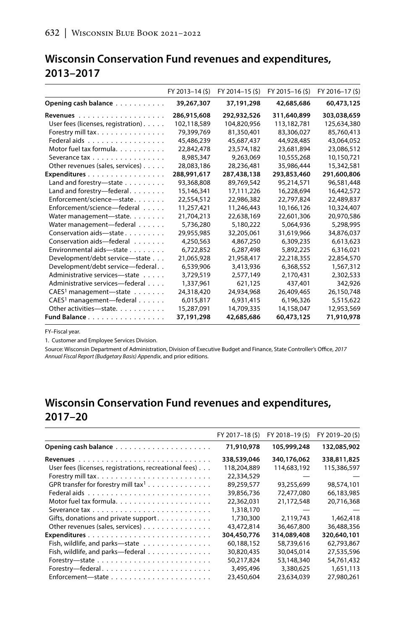### **Wisconsin Conservation Fund revenues and expenditures, 2013–2017**

|                                      | FY 2013-14 (\$) | FY 2014-15 (\$) | FY 2015-16(\$) | FY 2016-17 (\$) |
|--------------------------------------|-----------------|-----------------|----------------|-----------------|
| Opening cash balance                 | 39,267,307      | 37,191,298      | 42,685,686     | 60,473,125      |
|                                      | 286,915,608     | 292,932,526     | 311,640,899    | 303,038,659     |
| User fees (licenses, registration).  | 102,118,589     | 104,820,956     | 113,182,781    | 125,634,380     |
| Forestry mill tax.                   | 79,399,769      | 81,350,401      | 83,306,027     | 85,760,413      |
| Federal aids                         | 45,486,239      | 45,687,437      | 44,928,485     | 43,064,052      |
| Motor fuel tax formula.              | 22,842,478      | 23,574,182      | 23,681,894     | 23,086,512      |
| Severance tax                        | 8,985,347       | 9,263,069       | 10,555,268     | 10,150,721      |
| Other revenues (sales, services)     | 28,083,186      | 28,236,481      | 35.986.444     | 15,342,581      |
| Expenditures                         | 288,991,617     | 287,438,138     | 293,853,460    | 291,600,806     |
| Land and forestry-state              | 93.368.808      | 89.769.542      | 95.214.571     | 96,581,448      |
| Land and forestry-federal.           | 15,146,341      | 17,111,226      | 16,228,694     | 16,442,572      |
| Enforcement/science-state            | 22,554,512      | 22,986,382      | 22,797,824     | 22,489,837      |
| Enforcement/science-federal          | 11,257,421      | 11,246,443      | 10.166.126     | 10,324,407      |
| Water management-state.              | 21,704,213      | 22,638,169      | 22,601,306     | 20,970,586      |
| Water management-federal             | 5,736,280       | 5,180,222       | 5,064,936      | 5,298,995       |
| Conservation aids-state              | 29,955,985      | 32,205,061      | 31,619,966     | 34,876,037      |
| Conservation aids—federal            | 4,250,563       | 4,867,250       | 6,309,235      | 6,613,623       |
| Environmental aids-state             | 6,722,852       | 6,287,498       | 5,892,225      | 6,316,021       |
| Development/debt service-state       | 21,065,928      | 21,958,417      | 22,218,355     | 22,854,570      |
| Development/debt service-federal     | 6,539,906       | 3,413,936       | 6,368,552      | 1,567,312       |
| Administrative services-state        | 3,729,519       | 2,577,149       | 2,170,431      | 2,302,533       |
| Administrative services—federal      | 1,337,961       | 621,125         | 437,401        | 342,926         |
| CAES <sup>1</sup> management-state   | 24,318,420      | 24,934,968      | 26,409,465     | 26,150,748      |
| CAES <sup>1</sup> management-federal | 6,015,817       | 6,931,415       | 6,196,326      | 5,515,622       |
| Other activities-state.              | 15,287,091      | 14,709,335      | 14,158,047     | 12,953,569      |
| Fund Balance                         | 37,191,298      | 42,685,686      | 60,473,125     | 71,910,978      |

FY–Fiscal year.

1. Customer and Employee Services Division.

Source: Wisconsin Department of Administration, Division of Executive Budget and Finance, State Controller's Office, *2017 Annual Fiscal Report (Budgetary Basis) Appendix*, and prior editions.

## **Wisconsin Conservation Fund revenues and expenditures, 2017–20**

|                                                        | FY 2017-18(\$) | FY 2018-19 (\$) | FY 2019-20(\$) |
|--------------------------------------------------------|----------------|-----------------|----------------|
|                                                        | 71,910,978     | 105,999,248     | 132,085,902    |
|                                                        | 338,539,046    | 340,176,062     | 338,811,825    |
| User fees (licenses, registrations, recreational fees) | 118,204,889    | 114,683,192     | 115,386,597    |
|                                                        | 22,334,529     |                 |                |
| GPR transfer for forestry mill tax <sup>1</sup>        | 89,259,577     | 93,255,699      | 98,574,101     |
|                                                        | 39,856,736     | 72,477,080      | 66,183,985     |
|                                                        | 22,362,031     | 21,172,548      | 20,716,368     |
|                                                        | 1,318,170      |                 |                |
| Gifts, donations and private support                   | 1,730,300      | 2,119,743       | 1,462,418      |
| Other revenues (sales, services)                       | 43,472,814     | 36,467,800      | 36.488.356     |
|                                                        | 304,450,776    | 314,089,408     | 320,640,101    |
| Fish, wildlife, and parks-state                        | 60,188,152     | 58,739,616      | 62,793,867     |
| Fish, wildlife, and parks-federal                      | 30,820,435     | 30,045,014      | 27,535,596     |
|                                                        | 50,217,824     | 53,148,340      | 54,761,432     |
|                                                        | 3,495,496      | 3.380.625       | 1,651,113      |
|                                                        | 23,450,604     | 23.634.039      | 27,980,261     |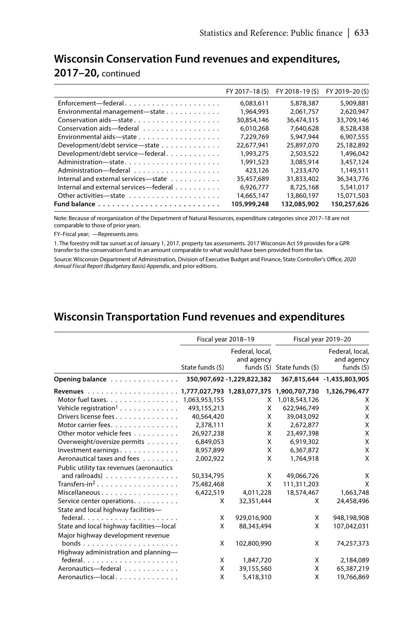#### **Wisconsin Conservation Fund revenues and expenditures,**

#### **2017–20,** continued

|                                        | FY 2017-18 (\$) | FY 2018-19 (\$) | FY 2019-20 (\$) |
|----------------------------------------|-----------------|-----------------|-----------------|
| Enforcement-federal                    | 6.083.611       | 5,878,387       | 5,909,881       |
| Environmental management-state         | 1.964.993       | 2.061.757       | 2.620.947       |
| Conservation aids-state                | 30.854.146      | 36,474,315      | 33,709,146      |
| Conservation aids-federal              | 6.010.268       | 7.640.628       | 8,528,438       |
| Environmental aids-state               | 7.229.769       | 5.947.944       | 6,907,555       |
| Development/debt service-state         | 22.677.941      | 25,897,070      | 25,182,892      |
| Development/debt service-federal       | 1.993.275       | 2.503.522       | 1,496,042       |
| Administration-state                   | 1,991,523       | 3.085.914       | 3,457,124       |
|                                        | 423,126         | 1,233,470       | 1.149.511       |
| Internal and external services-state   | 35,457,689      | 31,833,402      | 36,343,776      |
| Internal and external services—federal | 6,926,777       | 8.725.168       | 5,541,017       |
| Other activities-state                 | 14.665.147      | 13,860,197      | 15,071,503      |
|                                        | 105,999,248     | 132,085,902     | 150,257,626     |
|                                        |                 |                 |                 |

Note: Because of reorganization of the Department of Natural Resources, expenditure categories since 2017–18 are not comparable to those of prior years.

FY–Fiscal year; —Represents zero.

1. The forestry mill tax sunset as of January 1, 2017, property tax assessments. 2017 Wisconsin Act 59 provides for a GPR transfer to the conservation fund in an amount comparable to what would have been provided from the tax.

Source: Wisconsin Department of Administration, Division of Executive Budget and Finance, State Controller's Office, *2020 Annual Fiscal Report (Budgetary Basis) Appendix*, and prior editions*.*

### **Wisconsin Transportation Fund revenues and expenditures**

|                                              | Fiscal year 2018-19 |                               |                             | Fiscal year 2019-20                          |
|----------------------------------------------|---------------------|-------------------------------|-----------------------------|----------------------------------------------|
|                                              | State funds (\$)    | Federal, local,<br>and agency | funds (\$) State funds (\$) | Federal, local,<br>and agency<br>funds $(5)$ |
| Opening balance                              |                     | 350,907,692 - 1,229,822,382   |                             | 367,815,644 -1,435,803,905                   |
|                                              |                     |                               |                             | 1,326,796,477                                |
| Motor fuel taxes.                            | 1,063,953,155       | x                             | 1,018,543,126               | X                                            |
| Vehicle registration <sup>1</sup>            | 493,155,213         | X                             | 622,946,749                 | X                                            |
| Drivers license fees.                        | 40,564,420          | X                             | 39,043,092                  | X                                            |
| Motor carrier fees.                          | 2,378,111           | X                             | 2.672.877                   | X                                            |
| Other motor vehicle fees                     | 26,927,238          | X                             | 23,497,398                  | X                                            |
| Overweight/oversize permits                  | 6,849,053           | X                             | 6,919,302                   | X                                            |
| Investment earnings.                         | 8,957,899           | X                             | 6,367,872                   | X                                            |
| Aeronautical taxes and fees                  | 2,002,922           | X                             | 1.764.918                   | X                                            |
| Public utility tax revenues (aeronautics     |                     |                               |                             |                                              |
| and railroads) $\ldots \ldots \ldots \ldots$ | 50,334,795          | X                             | 49,066,726                  | х                                            |
| Transfers-in <sup>2</sup>                    | 75,482,468          | X                             | 111,311,203                 | X                                            |
| Miscellaneous                                | 6,422,519           | 4,011,228                     | 18,574,467                  | 1,663,748                                    |
| Service center operations.                   | X                   | 32,351,444                    | X                           | 24,458,496                                   |
| State and local highway facilities-          |                     |                               |                             |                                              |
|                                              | X                   | 929,016,900                   | X                           | 948,198,908                                  |
| State and local highway facilities-local     | X                   | 88,343,494                    | X                           | 107,042,031                                  |
| Major highway development revenue            |                     |                               |                             |                                              |
| bonds                                        | X                   | 102,800,990                   | X                           | 74,257,373                                   |
| Highway administration and planning-         |                     |                               |                             |                                              |
|                                              | X                   | 1,847,720                     | X                           | 2,184,089                                    |
| Aeronautics-federal                          | X                   | 39,155,560                    | X                           | 65,387,219                                   |
| Aeronautics-local                            | X                   | 5,418,310                     | X                           | 19,766,869                                   |
|                                              |                     |                               |                             |                                              |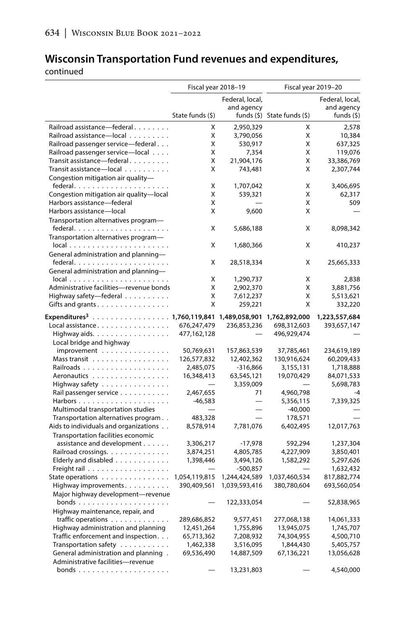## **Wisconsin Transportation Fund revenues and expenditures,**

continued

|                                                               | Fiscal year 2018-19 |                 | Fiscal year 2019-20               |                 |  |
|---------------------------------------------------------------|---------------------|-----------------|-----------------------------------|-----------------|--|
|                                                               |                     | Federal, local, |                                   | Federal, local, |  |
|                                                               |                     | and agency      |                                   | and agency      |  |
|                                                               | State funds (\$)    |                 | funds $(\xi)$ State funds $(\xi)$ | funds $(5)$     |  |
| Railroad assistance-federal                                   | X                   | 2,950,329       | X                                 | 2,578           |  |
| Railroad assistance-local                                     | Χ                   | 3,790,056       | Χ                                 | 10,384          |  |
| Railroad passenger service-federal                            | X                   | 530,917         | X                                 | 637,325         |  |
| Railroad passenger service-local                              | X                   | 7,354           | X                                 | 119,076         |  |
| Transit assistance-federal.                                   | X                   | 21,904,176      | X                                 | 33,386,769      |  |
| Transit assistance-local                                      | X                   | 743,481         | X                                 | 2,307,744       |  |
| Congestion mitigation air quality-                            |                     |                 |                                   |                 |  |
|                                                               | X                   | 1,707,042       | X                                 | 3,406,695       |  |
| Congestion mitigation air quality-local                       | X                   | 539,321         | X                                 | 62,317          |  |
| Harbors assistance-federal                                    | X                   |                 | X                                 | 509             |  |
| Harbors assistance-local                                      | X                   | 9,600           | X                                 |                 |  |
| Transportation alternatives program-                          |                     |                 |                                   |                 |  |
|                                                               | Χ                   | 5,686,188       | Χ                                 | 8,098,342       |  |
| Transportation alternatives program-                          |                     |                 |                                   |                 |  |
| $local \dots \dots \dots \dots \dots \dots \dots \dots \dots$ | X                   | 1,680,366       | X                                 | 410,237         |  |
| General administration and planning-                          |                     |                 |                                   |                 |  |
|                                                               | Χ                   | 28,518,334      | Χ                                 | 25,665,333      |  |
| General administration and planning-                          |                     |                 |                                   |                 |  |
| $local \dots \dots \dots \dots \dots \dots \dots \dots$       | Χ                   | 1,290,737       | X                                 | 2,838           |  |
| Administrative facilities-revenue bonds                       | X                   | 2,902,370       | X                                 | 3,881,756       |  |
| Highway safety-federal                                        | X                   | 7,612,237       | X                                 | 5,513,621       |  |
| Gifts and grants                                              | X                   | 259,221         | X                                 | 332,220         |  |
|                                                               |                     |                 |                                   |                 |  |
| Expenditures <sup>3</sup> 1,760,119,841 1,489,058,901         |                     |                 | 1,762,892,000                     | 1,223,557,684   |  |
| Local assistance.                                             | 676,247,479         | 236,853,236     | 698,312,603                       | 393,657,147     |  |
| Highway aids.                                                 | 477,162,128         |                 | 496,929,474                       |                 |  |
| Local bridge and highway                                      |                     |                 |                                   |                 |  |
| improvement                                                   | 50,769,631          | 157,863,539     | 37,785,461                        | 234,619,189     |  |
| Mass transit                                                  | 126,577,832         | 12,402,362      | 130,916,624                       | 60,209,433      |  |
|                                                               | 2,485,075           | $-316,866$      | 3,155,131                         | 1,718,888       |  |
| Aeronautics                                                   | 16,348,413          | 63,545,121      | 19,070,429                        | 84,071,533      |  |
| Highway safety                                                |                     | 3,359,009       |                                   | 5,698,783       |  |
| Rail passenger service                                        | 2,467,655           | 71              | 4,960,798                         | $-4$            |  |
|                                                               | $-46,583$           |                 | 5,356,115                         | 7,339,325       |  |
| Multimodal transportation studies                             |                     |                 | $-40,000$                         |                 |  |
| Transportation alternatives program                           | 483,328             |                 | 178,571                           |                 |  |
| Aids to individuals and organizations                         | 8,578,914           | 7,781,076       | 6,402,495                         | 12,017,763      |  |
| Transportation facilities economic                            |                     |                 |                                   |                 |  |
| assistance and development                                    | 3,306,217           | $-17,978$       | 592,294                           | 1,237,304       |  |
| Railroad crossings.                                           | 3,874,251           | 4,805,785       | 4,227,909                         | 3,850,401       |  |
| Elderly and disabled                                          | 1,398,446           | 3,494,126       | 1,582,292                         | 5,297,626       |  |
|                                                               |                     | $-500,857$      |                                   | 1,632,432       |  |
| State operations                                              | 1,054,119,815       | 1,244,424,589   | 1,037,460,534                     | 817,882,774     |  |
| Highway improvements.                                         | 390,409,561         | 1,039,593,416   | 380,780,604                       | 693,560,054     |  |
| Major highway development-revenue                             |                     |                 |                                   |                 |  |
| bonds                                                         |                     | 122,333,054     |                                   | 52,838,965      |  |
| Highway maintenance, repair, and                              |                     |                 |                                   |                 |  |
| traffic operations $\ldots \ldots \ldots \ldots$              | 289,686,852         | 9,577,451       | 277,068,138                       | 14,061,333      |  |
| Highway administration and planning                           | 12,451,264          | 1,755,896       | 13,945,075                        | 1,745,707       |  |
| Traffic enforcement and inspection.                           | 65,713,362          | 7,208,932       | 74,304,955                        | 4,500,710       |  |
|                                                               |                     | 3,516,095       |                                   | 5,405,757       |  |
| Transportation safety                                         | 1,462,338           |                 | 1,844,430                         |                 |  |
| General administration and planning.                          | 69,536,490          | 14,887,509      | 67,136,221                        | 13,056,628      |  |
| Administrative facilities-revenue                             |                     |                 |                                   |                 |  |
| bonds                                                         |                     | 13,231,803      |                                   | 4,540,000       |  |